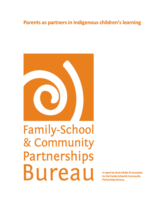# **Parents as partners in Indigenous children's learning**



**Family-School** & Community Partnerships Bureau

**A report by Denis Muller & Associates for the Family-School & Community Partnerships Bureau.**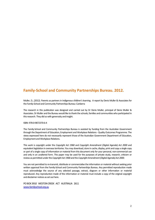# **Family-School and Community Partnerships Bureau. 2012.**

Muller, D., (2012). Parents as partners in Indigenous children's learning. A report by Denis Muller & Associates for the Family-School and Community Partnerships Bureau: Canberra

The research in this publication was designed and carried out by Dr Denis Muller, principal of Denis Muller & Associates. Dr Muller and the Bureau would like to thank the schools, families and communities who participated in this research. They did so with generosity and insight.

#### ISBN: 978-0-9872370-6-4

The Family-School and Community Partnerships Bureau is assisted by funding from the Australian Government through the Department of Education, Employment and Workplace Relations -Quality Outcomes Programme. The views expressed here do not necessarily represent those of the Australian Government Department of Education, Employment and Workplace Relations.

This work is copyright under the *Copyright Act 1968* and *Copyright Amendment (Digital Agenda) Act 2000* and equivalent legislation in overseas territories. You may download, store in cache, display, print and copy a single copy or part of a single copy of information or material from this document only for your personal, non-commercial use and only in an unaltered form. This paper may be used for the purposes of private study, research, criticism or review as permitted under the *Copyright Act 1968* and the *Copyright Amendment (Digital Agenda) Act 2000.*

You are not permitted to re-transmit, distribute or commercialise the information or material without seeking prior written approval from the Family-School and Community Partnerships Bureau. Any permitted reproduction made must acknowledge the source of any selected passage, extract, diagram or other information or material reproduced. Any reproduction made of the information or material must include a copy of the original copyright and disclaimer notices as set out here.

PO BOX 3910 WESTON CREEK ACT AUSTRALIA 2611 [www.familyschool.org.au](http://www.familyschool.org.au/)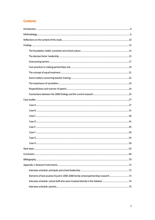# **Contents**

<span id="page-2-0"></span>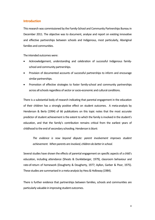# **Introduction**

This research was commissioned by the Family-School and Community Partnerships Bureau in December 2011. The objective was to document, analyse and report on existing innovative and effective partnerships between schools and Indigenous, most particularly, Aboriginal families and communities.

The intended outcomes were:

- Acknowledgement, understanding and celebration of successful Indigenous familyschool and community partnerships.
- Provision of documented accounts of successful partnerships to inform and encourage similar partnerships.
- Promotion of effective strategies to foster family-school and community partnerships across all schools regardless of sector or socio-economic and cultural conditions.

There is a substantial body of research indicating that parental engagement in the education of their children has a strongly positive effect on student outcomes. A meta-analysis by Henderson & Berla (1994) of 66 publications on this topic notes that the most accurate predictor of student achievement is the extent to which the family is involved in the student's education, and that the family's contribution remains critical from the earliest years of childhood to the end of secondary schooling. Henderson is blunt:

*The evidence is now beyond dispute: parent involvement improves student achievement. When parents are involved, children do better in school.*

Several studies have shown the effects of parental engagement on specific aspects of a child's education, including attendance (Sheats & Dunkleberger, 1979), classroom behaviour and rate-of-return of homework (Dougherty & Dougherty, 1977; Ayllon, Garber & Pisor, 1975). These studies are summarised in a meta-analysis by Hess & Holloway (1984).

There is further evidence that partnerships between families, schools and communities are particularly valuable in improving student outcomes.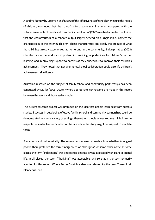A landmark study by Coleman *et al* (1966) of the effectiveness of schools in meeting the needs of children, concluded that the school's effects were marginal when compared with the substantive effects of family and community. Jencks *et al* (1972) reached a similar conclusion: that the characteristics of a school's output largely depend on a single input, namely the characteristics of the entering children. These characteristics are largely the product of what the child has already experienced at home and in the community. Biddulph *et al* (2003) identified social networks as important in providing opportunities for children's further learning, and in providing support to parents as they endeavour to improve their children's achievement. They noted that genuine home/school collaboration could also lift children's achievements significantly.

Australian research on the subject of family-school and community partnerships has been conducted by Muller (2006, 2009). Where appropriate, connections are made in this report between this work and those earlier studies.

The current research project was premised on the idea that people learn best from success stories. If success in developing effective family, school and community partnerships could be demonstrated in a wide variety of settings, then other schools whose settings might in some respects be similar to one or other of the schools in the study might be inspired to emulate them.

A matter of cultural sensitivity: The researchers inquired at each school whether Aboriginal people there preferred the term "Indigenous" or "Aboriginal" or some other name. In some places, the term "Indigenous" was deprecated because it was associated with plant or animal life. In all places, the term "Aboriginal" was acceptable, and so that is the term primarily adopted for this report. Where Torres Strait Islanders are referred to, the term Torres Strait Islanders is used.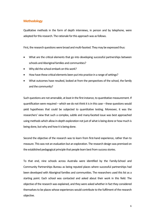# <span id="page-5-0"></span>**Methodology**

Qualitative methods in the form of depth interviews, in person and by telephone, were adopted for this research. The rationale for this approach was as follows.

First, the research questions were broad and multi-faceted. They may be expressed thus:

- What are the critical elements that go into developing successful partnerships between schools and Aboriginal families and communities?
- Why did the school embark on this work?
- How have these critical elements been put into practice in a range of settings?
- What outcomes have resulted, looked at from the perspectives of the school, the family and the community?

Such questions are not amenable, at least in the first instance, to quantitative measurement. If quantification were required – which we do not think it is in this case – these questions would yield hypotheses that could be subjected to quantitative testing. Moreover, it was the researchers' view that such a complex, subtle and many-faceted issue was best approached using methods which allow in-depth exploration not just of what is being done or how much is being done, but why and how it is being done.

Second the objective of the research was to learn from first-hand experience, rather than to measure. This was not an evaluation but an exploration. The research design was premised on the established pedagogical principle that people learn best from success stories.

To that end, nine schools across Australia were identified by the Family-School and Community Partnerships Bureau as being reputed places where successful partnerships had been developed with Aboriginal families and communities. The researchers used this list as a starting point. Each school was contacted and asked about their work in this field. The objective of the research was explained, and they were asked whether in fact they considered themselves to be places whose experiences would contribute to the fulfilment of the research objective.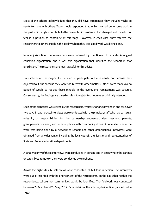Most of the schools acknowledged that they did have experiences they thought might be useful to share with others. Two schools responded that while they had done some work in the past which might contribute to the research, circumstances had changed and they did not feel in a position to contribute at this stage. However, in each case, they referred the researchers to other schools in the locality where they said good workwas being done.

In one jurisdiction, the researchers were referred by the Bureau to a state Aboriginal education organisation, and it was this organisation that identified the schools in that jurisdiction. The researchers are most grateful for this advice.

Two schools on the original list declined to participate in the research, not because they objected to it but because they were too busy with other matters. Efforts were made over a period of weeks to replace these schools. In the event, one replacement was secured. Consequently, the findings are based on visits to eight sites, not nine as originally intended.

Each of the eight sites was visited by the researchers, typically for one day and in one case over two days. In each place, interviews were conducted with the principal, staff who had particular roles in, or responsibilities for, the partnership endeavour, class teachers, parents, grandparents or carers, and in most places with community elders. At one site, where the work was being done by a network of schools and other organisations, interviews were obtained from a wider range, including the local council, a university and representatives of State and Federal education departments.

A large majority of these interviews were conducted in person, and in cases where the parents or carers lived remotely, they were conducted by telephone.

Across the eight sites, 60 interviews were conducted, all but four in person. The interviews were audio-recorded with the prior consent of the respondents, on the basis that neither the respondents, schools nor communities would be identified. The fieldwork was conducted between 29 March and 29 May, 2012. Basic details of the schools, de-identified, are set out in Table 1.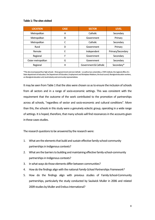# **Table 1: The sites visited**

| <b>LOCATION</b>    | <b>CASE</b> | <b>SECTOR</b>         | <b>LEVEL</b>      |
|--------------------|-------------|-----------------------|-------------------|
| Metropolitan       | A           | Catholic              | Secondary         |
| Metropolitan       | B           | Government            | Primary           |
| Metropolitan       |             | Catholic              | Secondary         |
| Rural              | D           | Government            | Primary           |
| Remote             | F           | Independent           | Primary/Secondary |
| Regional           | F           | Government            | Secondary         |
| Outer metropolitan | G           | Government            | Secondary         |
| Regional           | н           | Government & Catholic | Secondary*        |

\*This site encompassed four high schools - three government and one Catholic - as well as two universities, a TAFE institute, the regional office of a State department of education, the Department of Education, Employment and Workplace Relations, the local council, Aboriginaleducation workers, an Aboriginal education unit, local industry and community representatives.

It may be seen from Table 1 that the sites were chosen so as to ensure the inclusion of schools from all sectors and in a range of socio-economic settings. This was consistent with the requirement that the outcome of the work contributed to the promotion of partnerships across all schools, "regardless of sector and socio-economic and cultural conditions". More than this, the schools in this study were a genuinely eclectic group, operating in a wide range of settings. It is hoped, therefore, that many schools will find resonances in the accounts given in these cases studies.

The research questions to be answered by the research were:

- 1. What are the elements that build and sustain effective family-school-community partnerships in Indigenous contexts?
- 2. What are the barriers to building and maintaining effective family-school-community partnerships in Indigenous contexts?
- 3. In what ways do those elements differ between communities?
- 4. How do the findings align with the national *Family-School Partnerships Framework?*
- 5. How do the findings align with previous studies of Family-School-Community partnerships, particularly the study conducted by Saulwick Muller in 2006 and related 2009 studies by Muller and Erebus International?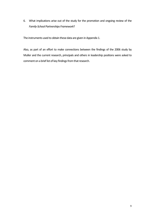6. What implications arise out of the study for the promotion and ongoing review of the *Family-School Partnerships Framework*?

The instruments used to obtain these data are given in Appendix 1.

Also, as part of an effort to make connections between the findings of the 2006 study by Muller and the current research, principals and others in leadership positions were asked to comment on a brief list of key findings from that research.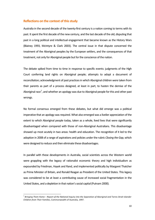# <span id="page-9-0"></span>**Reflections on the context of this study**

Australia in the second decade of the twenty-first century is a nation coming to terms with its past. It spent the first decade of the new century, and the last decade of the old, disputing that past in a long political and intellectual engagement that became known as the History Wars (Blainey 1993, McIntyre & Clark 2003). The central issue in that dispute concerned the treatment of the Aboriginal peoples by the European settlers, and the consequences of that treatment, not only for Aboriginal people but for the conscience of the nation.

The debate spiked from time to time in response to specific events: judgments of the High Court conferring land rights on Aboriginal people; attempts to adopt a document of reconciliation; acknowledgment of past practices in which Aboriginal children were taken from their parents as part of a process designed, at least in part, to hasten the demise of the Aboriginal race $^1$ , and whether an apology was due to Aboriginal people for this and other past wrongs.

No formal consensus emerged from these debates, but what did emerge was a political imperative that an apology was required. What also emerged was a livelier appreciation of the extent to which Aboriginal people today, taken as a whole, lived lives that were significantly disadvantaged when compared with those of non-Aboriginal Australians. This disadvantage showed up most acutely in two areas: health and education. The recognition of it led to the adoption in 2008 of a range of aspirations and policies under the rubric *Closing the Gap*, which were designed to reduce and then eliminate these disadvantages.

In parallel with these developments in Australia, social scientists across the Western world were grappling with the legacy of rationalist economic theory and high individualism as expounded by Friedman, Hayek and Rand, and implemented politically by Margaret Thatcher as Prime Minister of Britain, and Ronald Reagan as President of the United States. This legacy was considered to be at least a contributing cause of increased social fragmentation in the United States, and a depletion in that nation's social capital(Putnam 2000).

<span id="page-9-1"></span> <sup>1</sup> *Bringing Them Home – Report of the National Inquiry into the Separation of Aboriginal and Torres Strait Islander Children from Their Families*, Commonwealth of Australia, 1997.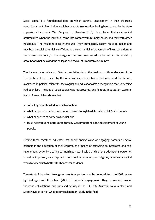Social capital is a foundational idea on which parents' engagement in their children's education is built. By coincidence, it has its roots in education, having been coined by the state supervisor of schools in West Virginia, L. J. Hanafan (1916). He explained that social capital accumulated when the individual came into contact with his neighbours, and they with other neighbours. The resultant social intercourse "may immediately satisfy his social needs and may bear a social potentiality sufficient to the substantial improvement of living conditions in the whole community". This lineage of the term was traced by Putnam in his revelatory account of what he called the collapse and revival of American community.

The fragmentation of various Western societies during the final two or three decades of the twentieth century, typified by the American experience traced and measured by Putnam, awakened in political scientists, sociologists and educationalists a recognition that something had been lost. The idea of social capital was rediscovered, and its roots in education were relearnt. Research had shown that:

- social fragmentation led to social alienation;
- what happened in school was not on its own enough to determine a child's life chances;
- what happened at home was crucial, and
- trust, networks and norms of reciprocity were important in the development of young people.

Putting these together, educators set about finding ways of engaging parents as active partners in the education of their children as a means of catalysing an integrated and selfregenerating cycle: by creating partnerships it was likely that children's educational outcomes would be improved; social capital in the school's community would grow; richer social capital would also feed into better life chances for students.

The extent of the efforts to engage parents as partners can be deduced from the 2002 review by Desforges and Abouchaar (2002) of parental engagement. They uncovered tens of thousands of citations, and surveyed activity in the UK, USA, Australia, New Zealand and Scandinavia as part of what became a landmark study in the field.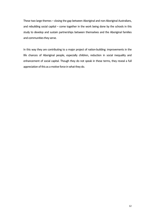These two large themes – closing the gap between Aboriginal and non-Aboriginal Australians, and rebuilding social capital – come together in the work being done by the schools in this study to develop and sustain partnerships between themselves and the Aboriginal families and communities they serve.

In this way they are contributing to a major project of nation-building: improvements in the life chances of Aboriginal people, especially children, reduction in social inequality and enhancement of social capital. Though they do not speak in these terms, they reveal a full appreciation of this as a motive force in what they do.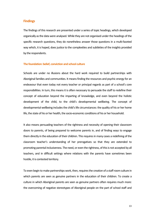# <span id="page-12-0"></span>**Findings**

The findings of this research are presented under a series of topic headings, which developed organically as the data were analysed. While they are not organised under the headings of the specific research questions, they do nonetheless answer those questions in a multi-faceted way which, it is hoped, does justice to the complexities and subtleties of the insights provided by the respondents.

#### <span id="page-12-1"></span>**The foundation: belief, conviction and school culture**

Schools are under no illusions about the hard work required to build partnerships with Aboriginal families and communities. It means finding the resources and psychic energy for an endeavour that even today not every teacher or principal regards as part of a school's core responsibilities. In turn, this means it is often necessary to persuade the staff to redefine their concept of education beyond the imparting of knowledge, and even beyond the holistic development of the child, to the child's developmental wellbeing. The concept of developmental wellbeing includes the child's life circumstances: the quality of his or her home life, the state of his or her health, the socio-economic conditions of his or her household.

It also means persuading teachers of the rightness and necessity of opening their classroom doors to parents, of being prepared to welcome parents in, and of finding ways to engage them directly in the education of their children. This requires in many cases a redefining of the classroom teacher's understanding of her prerogatives so that they are extended to promoting parental inclusiveness. The need, or even the rightness, of this is not accepted by all teachers, and in difficult settings where relations with the parents have sometimes been hostile, it is contested territory.

To even begin to make partnerships work, then, requires the creation of a staff room culture in which parents are seen as genuine partners in the education of their children. To create a culture in which Aboriginal parents are seen as genuine partners often requires much more: the overcoming of negative stereotypes of Aboriginal people on the part of school staff and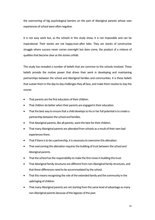the overcoming of big psychological barriers on the part of Aboriginal parents whose own experiences of school were often negative.

It is not easy work but, as the schools in this study show, it is not impossible and can be inspirational. Their stories are not happy-ever-after tales. They are stories of constructive struggle where success never comes overnight but does come, the product of a mixture of qualities that become clear as the stories unfold.

This study has revealed a number of beliefs that are common to the schools involved. These beliefs provide the motive power that drives their work in developing and maintaining partnerships between the school and Aboriginal families and communities. It is these beliefs that sustain them in the day-to-day challenges they all face, and make them resolve to stay the course:

- That parents are the first educators of their children.
- That children do better when their parents are engaged in their education.
- That the best way to ensure that a child develops to his or her full potential is to create a partnership between the school and families.
- That Aboriginal parents, like all parents, want the best for their children.
- That many Aboriginal parents are alienated from schools as a result of their own bad experiences there.
- That if there is to be a partnership, it is necessary to overcome this alienation.
- That overcoming this alienation requires the building of trust between the school and Aboriginal parents.
- That the school has the responsibility to make the first move in building this trust.
- That Aboriginal family structures are different from non-Aboriginal family structures, and that these differences need to be accommodated by the school.
- That this means recognising the role of the extended family and the community in the upbringing of children.
- That many Aboriginal parents are not starting from the same level of advantage as many non-Aboriginal parents because of the legacies of the past.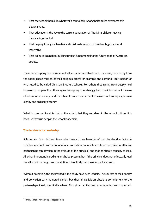- That the school should do whatever it can to help Aboriginal families overcome this disadvantage.
- That education is the key to the current generation of Aboriginal children leaving disadvantage behind.
- That helping Aboriginal families and children break out of disadvantage is a moral imperative.
- That doing so is a nation-building project fundamental to the future good of Australian society.

These beliefs spring from a variety of value systems and traditions. For some, they spring from the social justice mission of their religious order: for example, the Edmund Rice tradition of what used to be called Christian Brothers schools. For others they spring from deeply held humanist principles. For others again they spring from strongly held convictions about the role of education in society, and for others from a commitment to values such as equity, human dignity and ordinary decency.

What is common to all is that to the extent that they run deep in the school culture, it is because they run deep in the school leadership.

# <span id="page-14-0"></span>**The decisive factor: leadership**

It is certain, from this and from other research we have done<sup>[2](#page-14-1)</sup> that the decisive factor in whether a school has the foundational conviction on which a culture conducive to effective partnerships can develop, is the attitude of the principal, and that principal's capacity to lead. All other important ingredients might be present, but if the principal does not effectually lead the effort with strength and conviction, it is unlikely that the effort will succeed.

Without exception, the sites visited in this study have such leaders. The sources of their energy and conviction vary, as noted earlier, but they all exhibit an absolute commitment to the partnerships ideal, specifically where Aboriginal families and communities are concerned.

<span id="page-14-1"></span><sup>&</sup>lt;sup>2</sup> Family-School Partnerships Project op.cit.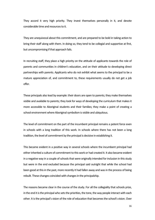They accord it very high priority. They invest themselves personally in it, and devote considerable time and resources to it.

They are unequivocal about this commitment, and are prepared to be bold in taking action to bring their staff along with them. In doing so, they tend to be collegial and supportive at first, but uncompromising if that approach fails.

In recruiting staff, they place a high priority on the attitude of applicants towards the role of parents and communities in children's education, and on their attitude to developing direct partnerships with parents. Applicants who do not exhibit what seemsto the principal to be a mature appreciation of, and commitment to, these requirements usually do not get a job offer.

These principals also lead by example: their doors are open to parents; they make themselves visible and available to parents; they look for ways of developing the curriculum that makes it more accessible to Aboriginal students and their families; they make a point of creating a school environment where Aboriginal symbolism is visible and ubiquitous.

The level of commitment on the part of the incumbent principal remains a potent force even in schools with a long tradition of this work. In schools where there has not been a long tradition, the level of commitment by the principal is decisive in establishing it.

This became evident in a positive way in several schools where the incumbent principal had either inherited a culture of commitment to this work or had created it. It also became evident in a negative way in a couple of schools that were originally intended for inclusion in this study but were in the end excluded because the principal said outright that while the school had been good at this in the past, more recently it had fallen away and was in the process of being rebuilt. These changes coincided with changes in the principalship.

The reasons became clear in the course of the study. For all the collegiality that schools prize, in the end it is the principal who sets the priorities, the tone, the way people interact with each other. It is the principal's vision of the role of education that becomes the school's vision. Over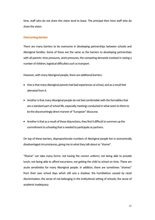time, staff who do not share this vision tend to leave. The principal then hires staff who do share the vision.

# <span id="page-16-0"></span>**Overcoming barriers**

There are many barriers to be overcome in developing partnerships between schools and Aboriginal families. Some of these are the same as the barriers to developing partnerships with all parents: time pressures, work pressures, the competing demands involved in raising a number of children; logistical difficulties such as transport.

However, with many Aboriginal people, there are additional barriers:

- One is that many Aboriginal parents had bad experiences at school, and as a result feel alienated from it.
- Another is that many Aboriginal people do not feel comfortable with the formalities that are a standard part of school life, especially meetings conducted in what seem to them to be the disconcertingly direct manner of "European" discourse.
- Another is that as a result of these disjunctions, they find it difficult to summon up the commitment to schooling that is needed to participate as partners.

On top of these barriers, disproportionate numbers of Aboriginal people live in economically disadvantaged circumstances, giving rise to what they talk about as "shame".

"Shame" can take many forms: not having the correct uniform; not being able to provide lunch; not being able to afford excursions; not getting the child to school on time. These are acute sensitivities for many Aboriginal people. In addition, there are sometimes "shames" from their own school days which still cast a shadow: the humiliations caused by racial discrimination; the sense of not belonging in the institutional setting of schools; the sense of academic inadequacy.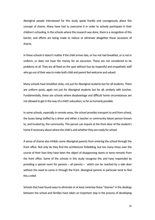Aboriginal people interviewed for this study speak frankly and courageously about this concept of shame. Many have had to overcome it in order to actively participate in their children's schooling. In the schools where this research was done, there is a recognition of this barrier, and efforts are being made to reduce or eliminate altogether these occasions of shame.

In these schools it doesn't matter if the child arriveslate, or has not had breakfast, or is not in uniform, or does not have the money for an excursion. These are not considered to be problems at all. They are all fixed on the spot without fuss by respectful and empathetic staff who go out of their way to make both child and parent feel welcome and valued.

Many schools have breakfast clubs, not just for Aboriginal students but for all students. There are uniform pools, again not just for Aboriginal students but for all; similarly with lunches. Fundamentally, these are schools where disadvantage and difficult home circumstances are not allowed to get in the way of a child's education, so far as humanly possible.

In some schools, especially in remote areas, the school provides transport to and from school, the buses being staffed by a driver and either a teacher or community liaison person known to, and trusted by, the community. This person can inquire at the front door of the student's home if necessary about where the child is and whether they are ready for school.

A sense of shame also inhibits some Aboriginal parents from entering the school through the front office. Not only do they find the architecture forbidding, but too many times over the course of their lives they have been the object of disapproving stares or terse remarks from the front office. Some of the schools in this study recognise this and have responded by providing a special room for parents – all parents – which can be reached by a side door without the need to come in through the front. Aboriginal parents in particular tend to find this a relief.

Schools that have found ways to eliminate or at least minimise these "shames" in the dealings between the school and families have taken an important step in the process of developing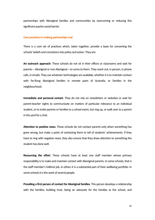partnerships with Aboriginal families and communities by overcoming or reducing this significant psycho-social barrier.

#### <span id="page-18-0"></span>**Core practices in making partnerships real**

There is a core set of practices which, taken together, provide a basis for converting the schools' beliefs and convictions into policy and action. They are:

**An outreach approach**. These schools do not sit in their offices or classrooms and wait for parents – Aboriginal or non-Aboriginal – to come to them. They reach out, in person, in phone calls, in emails. They use whatever technologies are available, whether it isto maintain contact with far-flung Aboriginal families in remote parts of Australia, or families in the neighbourhood.

**Immediate and personal contact**. They do not rely on newsletters or websites or wait for parent-teacher nights to communicate on matters of particular relevance to an individual student, or to invite parents or families to a school event, but ring up, or walk over to a parent in the yard for a chat.

**Attention to positive news**. These schools do not contact parents only when something has gone wrong, but make a point of contacting them to tell of students' achievements. If they have to ring with negative news, they also ensure that they draw attention to something the student has done well.

**Resourcing the effort**. These schools have at least one staff member whose primary responsibility is to make and maintain contact with Aboriginal parents. In some schools, that is the staff member's fulltime job. In others it is a substantial part of their wellbeing portfolio. In some schools it is the work of several people.

**Providing a first person of contact for Aboriginal families**. This person develops a relationship with the families, building trust, being an advocate for the families at the school, and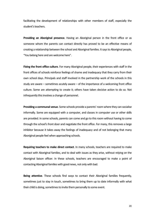facilitating the development of relationships with other members of staff, especially the student's teachers.

**Providing an Aboriginal presence**. Having an Aboriginal person in the front office or as someone whom the parents can contact directly has proved to be an effective means of creating a relationship between the school and Aboriginal families. It says to Aboriginal people, "You belong here and are welcome here".

**Fixing the front office culture**. For many Aboriginal people, their experiences with staff in the front offices of schools reinforce feelings of shame and inadequacy that they carry from their own school days. Principals and staff involved in the partnership work of the schools in this study are aware – sometimes acutely aware – of the importance of a welcoming front office culture. Some are attempting to create it; others have taken decisive action to do so. Not infrequently this involves a change of personnel.

**Providing a communal venue**. Some schools provide a parents' room where they can socialise informally. Some are equipped with a computer, and classes in computer use or other skills are provided. In some schools, parents can come and go to this room without having to come through the school's front door and negotiate the front office. For many, this removes a large inhibitor because it takes away the feelings of inadequacy and of not belonging that many Aboriginal people feel when approaching schools.

**Requiring teachers to make direct contact**. In many schools, teachers are required to make contact with Aboriginal families, and to deal with issues as they arise, without relying on the Aboriginal liaison officer. In these schools, teachers are encouraged to make a point of contacting Aboriginal families with good news, not only with bad.

**Being attentive**. These schools find ways to contact their Aboriginal families frequently, sometimes just to stay in touch, sometimes to bring them up to date informally with what their child is doing, sometimes to invite them personally to some event.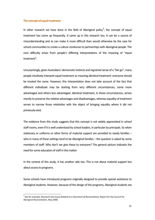#### <span id="page-20-0"></span>**The concept of equal treatment**

In other research we have done in the field of Aboriginal policy<sup>[3](#page-20-1)</sup>, the concept of equal treatment has come up frequently. It came up in this research too. It can be a source of misunderstanding and so can make it more difficult than would otherwise be the case for school communities to create a culture conducive to partnerships with Aboriginal people. The core difficulty arises from people's differing interpretations of the meaning of "equal treatment".

Unsurprisingly, given Australians' democratic instincts and ingrained sense of a "fair go", many people intuitively interpret *equal* treatment as meaning *identical* treatment: everyone should be treated the same. However, this interpretation does not take account of the fact that different individuals may be starting from very different circumstances, some more advantaged and others less advantaged. Identical treatment, in those circumstances, serves merely to preserve the relative advantages and disadvantages, whereas equality of treatment serves to narrow those relativities with the object of bringing equality where it did not previously exist.

The evidence from this study suggests that this concept is not widely appreciated in school staff rooms, even if it is well understood by school leaders, in particular by principals. So when stationary or uniforms or other forms of material support are provided to needy families – who in many of these settings tend to be Aboriginal families – the question is asked by some members of staff: Why don't we give these to everyone? The general picture indicates the need for some education of staff in this matter.

In the context of this study, it has another side too. This is not about material support but about access to programs.

Some schools have introduced programs originally designed to provide special assistance to Aboriginal students. However, because of the design of the programs, Aboriginal students are

<span id="page-20-1"></span> <sup>3</sup> See for example, *Research into Issues Related to a Document of Reconciliation*, Report for the Council for Aboriginal Reconciliation, May 2000.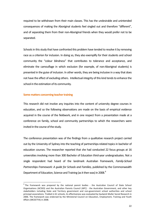required to be withdrawn from their main classes. This has the undesirable and unintended consequences of making the Aboriginal students feel singled out and therefore "different", and of separating them from their non-Aboriginal friends when they would prefer not to be separated.

Schools in this study that have confronted this problem have tended to resolve it by removing race as a criterion for inclusion. In doing so, they also exemplify for their students and school community the "colour blindness" that contributes to tolerance and acceptance, and eliminate the camouflage in which exclusion (for example, of non-Aboriginal students) is presented in the guise of inclusion. In other words, they are being inclusive in a way that does not have the effect of excluding others. Intellectual integrity of this kind tends to enhance the school in the estimation of its community.

#### <span id="page-21-0"></span>**Some matters concerning teacher training**

This research did not involve any inquiries into the content of university degree courses in education, and so the following observations are made on the basis of empirical evidence acquired in the course of the fieldwork, and in one respect from a presentation made at a conference on family, school and community partnerships to which the researchers were invited in the course of the study.

The conference presentation was of the findings from a qualitative research project carried out by the University of Sydney into the teaching of partnerships-related topics in bachelor of education courses. The researcher reported that she had conducted 22 focus groups at 16 universities involving more than 300 Bachelor of Education third-year undergraduates. Not a single respondent had heard of the landmark Australian framework, *Family-School Partnerships Framework: A guide for Schools and Families,* published by the Commonwealth Department of Education, Science and Training (as it then was) in 2008.<sup>[4](#page-21-1)</sup>

<span id="page-21-1"></span><sup>&</sup>lt;sup>4</sup> The framework was prepared by the national parent bodies - the Australian Council of State School Organisations (ACSSO) and the Australian Parents Council (APC) - the Australian Government, and other key stakeholders including State and Territory government and non-government school authorities and school principal associations. Trialled in 61 schools, its effectiveness was evaluated by Saulwick Muller Social Research in 2006. The framework was endorsed by the Ministerial Council on Education, Employment, Training and Youth Affairs (MCEETYA) in 2008.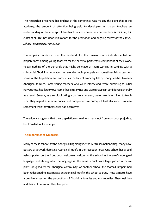The researcher presenting her findings at the conference was making the point that in the academy, the amount of attention being paid to developing in student teachers an understanding of the concept of family-school and community partnerships is minimal, if it exists at all. This has clear implications for the promotion and ongoing review of the *Family-School Partnerships Framework*.

The empirical evidence from the fieldwork for this present study indicates a lack of preparedness among young teachers for the parental partnership component of their work, to say nothing of the demands that might be made of them working in settings with a substantial Aboriginal population. In several schools, principals and sometimes fellow teachers spoke of the trepidation and sometimes the lack of empathy felt by young teaches towards Aboriginal families. Some young teachers who were interviewed, while admitting to initial nervousness, had largely overcome these misgivings and were growing in confidence generally as a result. Several, as a result of taking a particular interest, were now determined to teach what they regard as a more honest and comprehensive history of Australia since European settlement than they themselves had been given.

The evidence suggests that their trepidation or wariness stems not from conscious prejudice, but from lack of knowledge.

#### <span id="page-22-0"></span>**The importance of symbolism**

Many of these schools fly the Aboriginal flag alongside the Australian national flag. Many have posters or artwork depicting Aboriginal motifs in the reception area. One school has a bold yellow poster on the front door welcoming visitors to the school in the area's Aboriginal language, and stating what the language is. The same school has a large garden of native plants designed by the Aboriginal community. At another school, the football jumpers had been redesigned to incorporate an Aboriginal motif in the school colours. These symbols have a positive impact on the perceptions of Aboriginal families and communities. They feel they and their culture count. They feel proud.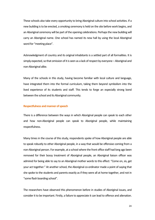These schools also take every opportunity to bring Aboriginal culture into school activities. If a new building is to be erected, a smoking ceremony is held on the site before work begins, and an Aboriginal ceremony will be part of the opening celebrations. Perhaps the new building will carry an Aboriginal name. One school has named its new hall by using the local Aboriginal word for "meeting place".

Acknowledgment of country and its original inhabitants is a settled part of all formalities. It is simply expected, so that omission of it is seen as a lack of respect by everyone – Aboriginal and non-Aboriginal alike.

Many of the schools in this study, having become familiar with local culture and language, have integrated them into the formal curriculum, taking them beyond symbolism into the lived experience of its students and staff. This tends to forge an especially strong bond between the school and its Aboriginal community.

#### <span id="page-23-0"></span>**Respectfulness and manner of speech**

There is a difference between the ways in which Aboriginal people can speak to each other and how non-Aboriginal people can speak to Aboriginal people, while maintaining respectfulness.

Many times in the course of this study, respondents spoke of how Aboriginal people are able to speak robustly to other Aboriginal people, in a way that would be offensive coming from a non-Aboriginal person. For example, at a school where the front office staff had long ago been removed for their bossy treatment of Aboriginal people, an Aboriginal liaison officer was admired for being able to say to an Aboriginal mother words to this effect: "Come on, sis, get your act together." At another school, the Aboriginal co-ordinator made a point of saying that she spoke to the students and parents exactly as if they were all at home together, and not in "some flash boarding school".

The researchers have observed this phenomenon before in studies of Aboriginal issues, and consider it to be important. Firstly, a failure to appreciate it can lead to offence and alienation.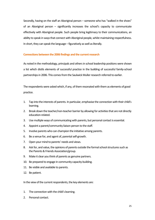Secondly, having on the staff an Aboriginal person – someone who has "walked in the shoes" of an Aboriginal person – significantly increases the school's capacity to communicate effectively with Aboriginal people. Such people bring legitimacy to their communications, an ability to speak in ways that connect with Aboriginal people, whilst maintaining respectfulness. In short, they can speak the language – figuratively as well as literally.

# <span id="page-24-0"></span>**Connections between the 2006 findings and the current research**

As noted in the methodology, principals and others in school leadership positions were shown a list which distils elements of successful practice in the building of successful family-school partnerships in 2006. This comes fromthe Saulwick Muller research referred to earlier.

The respondents were asked which, if any, of them resonated with them as elements of good practice.

- 1. Tap into the interests of parents. In particular, emphasise the connection with their child's learning.
- 2. Break down the teacher/non-teacher barrier by allowing for activities that are not directly education-related.
- 3. Use multiple ways of communicating with parents, but personal contact is essential.
- 4. Appoint a parent/community liaison person to the staff.
- 5. Involve parents who can champion the initiative among parents.
- 6. Be a venue for, and agent of, parental self-growth.
- 7. Open your mind to parents' needs and views.
- 8. Ask for, and value, the opinions of parents outside the formal school structures such as the Parents & Friends Association/group.
- 9. Make it clear you think of parents as genuine partners.
- 10. Be prepared to engage in community capacity-building.
- 11. Be visible and available to parents.
- 12. Be patient.

In the view of the current respondents, the key elements are:

- 1. The connection with the child's learning.
- 2. Personal contact.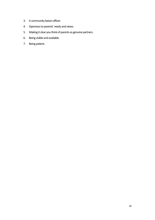- 3. A community liaison officer.
- 4. Openness to parents' needs and views.
- 5. Making it clear you think of parents as genuine partners.
- 6. Being visible and available.
- 7. Being patient.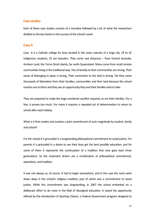# <span id="page-26-0"></span>**Case studies**

Each of these case studies consists of a narrative followed by a list of what the researchers distilled as the key factors in the success of the school's work.

# <span id="page-26-1"></span>**Case A**

Case A is a Catholic college for boys located in the outer suburbs of a large city. Of its 42 Indigenous students, 32 are boarders. They come vast distances – from Central Australia, Arnhem Land, the Torres Strait islands, far north Queensland. Many come from small remote communities living in the traditional way. Ties of kinship to their communities are strong. Their sense of belonging to place is strong. Their connection to the land is strong. Yet they come thousands of kilometres from their families, communities and their land because the school reaches out to themand they see an opportunity they and their families wish to take.

They are prepared to make the large emotional sacrifice required, as are their families. For a few, it proves too much. For many it requires a repeated act of determination to return to school after each holiday.

What is it that creates and sustains a joint commitment of such magnitude by student, family and school?

For the school it is grounded in a longstanding philosophical commitment to social justice. For parents it is grounded in a desire to see their boys get the best possible education, and for some of them it represents the continuation of a tradition that now goes back three generations. So the important drivers are a combination of philosophical commitment, aspirations, and tradition.

It was not always so, of course. It had to begin somewhere, and in this case the roots went down deep in the school's religious tradition, part of which was a commitment to social justice. While this commitment was longstanding, in 2007 the school embarked on a deliberate effort to do more in the field of Aboriginal education. It seized the opportunity offered by the introduction of *Sporting Chance*, a Federal Government program designed to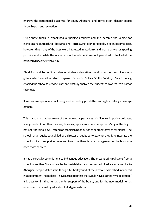improve the educational outcomes for young Aboriginal and Torres Strait Islander people through sport and recreation.

Using these funds, it established a sporting academy and this became the vehicle for increasing its outreach to Aboriginal and Torrres Strait Islander people. It soon became clear, however, that many of the boys were interested in academic and artistic as well as sporting pursuits, and so while the academy was the vehicle, it was not permitted to limit what the boys could become involved in.

Aboriginal and Torres Strait Islander students also attract funding in the form of Abstudy grants, which are set off directly against the student's fees. So the *Sporting Chance* funding enabled the school to provide staff, and Abstudy enabled the students to cover at least part of their fees.

It was an example of a school being alert to funding possibilities and agile in taking advantage of them.

This is a school that has many of the outward appearances of affluence: imposing buildings, fine grounds. As is often the case, however, appearances are deceptive. Many of the boys – not just Aboriginal boys – attend on scholarships or bursaries or other forms of assistance. The school has an equity council, led by a director of equity services, whose job is to integrate the school's suite of support services and to ensure there is case management of the boys who need those services.

It has a particular commitment to Indigenous education. The present principal came from a school in another State where he had established a strong record of educational service to Aboriginal people. Asked if he thought his background at the previous school had influenced his appointment, he replied: "I have a suspicion that that would have assisted my application." It is clear to him that he has the full support of the board, and for the new model he has introduced for providing education to Indigenous boys.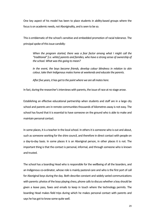One key aspect of his model has been to place students in ability-based groups where the focus is on academic needs, not Aboriginality, and is seen to be so.

This is emblematic of the school's sensitive and embedded promotion of racial tolerance. The principal spoke of this issue candidly:

*When the program started, there was a fear factor among what I might call the "traditional" [i.e. white] parents and families, who have a strong sense of ownership of the school. What was this going to mean?*

*In the event, the boys become friends, develop colour blindness in relation to skin colour, take their Indigenous mates home at weekends and educate the parents.*

*After five years, it has got to the point where we are all mates here.*

In fact, during the researcher's interviews with parents, the issue of race at no stage arose.

Establishing an effective educational partnership when students and staff are in a large city school and parents are in remote communities thousands of kilometres away is not easy. The school has found that it is essential to have someone on the ground who is able to make and maintain personal contact.

In some places, it is a teacher in the local school. In others it is someone who is out and about, such as someone working for the shire council, and therefore in direct contact with people on a day-to-day basis. In some places it is an Aboriginal person, in other places it is not. The important thing is that the contact is personal, informal, and through someone who is known and trusted.

The school has a boarding Head who is responsible for the wellbeing of all the boarders, and an Indigenous co-ordinator, whose role is mainly pastoral care and who is the first port of call for Aboriginal boys during the day. Both describe constant and widely varied communications with parents: photos of the boys playing chess, phone calls to discuss whether a boy should be given a leave pass, faxes and emails to keep in touch where the technology permits. The boarding Head makes field trips during which he makes personal contact with parents and says he has got to know some quite well.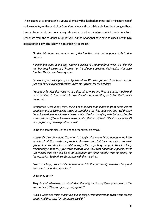The Indigenous co-ordinator is a young scientist with a laidback manner and a miniature zoo of native rodents, reptiles and birds from Central Australia which it is obvious the Aboriginal boys love to be around. He has a straight-from-the-shoulder directness which tends to attract responses from the students in similar vein. All the Aboriginal boys have to check in with him at least once a day. This is how he describes his approach:

*On the data base I can access any of the families. I pick up the phone daily to ring parents.*

*A boy might come in and say, "I haven't spoken to Grandma for a while". So I dial the number, they have a chat, I have a chat. It's all about building relationships with these families. That's one of my key roles.*

*I'm working on building reciprocal partnerships. We invite families down here, and I've just had three Indigenous families invite me up there for the holidays.*

*I rang four families this week to say g'day, this is who I am. They've got my mobile and work number. So it is about this open line of communication, and I feel that's really important.* 

*Sometimes I'll tell a boy that I think it is important that someone from home knows about something we have discussed or something that has happened and I tell the boy I'm going to ring home. It might be something they're struggling with, but what I make sure I do is that if I'm going to share something that is a little bit difficult or negative, I'll always follow up with a positive as well.*

Q: Do the parents pick up the phone or send you an email?

*Absolutely they do – now. The ones I struggle with – and I'll be honest – we have wonderful relations with the people in Arnhem Land, but they are such a transient group of people: they live in outstations for the majority of the year. They live fairly traditionally in that they follow the seasons, and I love that about these people, but it just means that they can be at an outstation for three months with no phone, no laptop, no fax. So sharing information with them is tricky.*

*I say to the boys, "Your families have entered into this partnership with the school, and you have to be partners in it too."*

Q: Do they get it?

*They do. I talked to them about this the other day, and two of the boys came up at the end and said, "Gee you give a good pep talk!"*

*I said it wasn't so much a pep talk, but so long as you understood what I was talking about. And they said, "Oh absolutely we did."*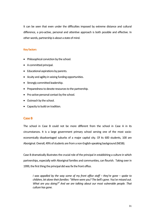It can be seen that even under the difficulties imposed by extreme distance and cultural difference, a pro-active, personal and attentive approach is both possible and effective. In other words, partnership is about a state of mind.

# **Key factors**

- Philosophical conviction by the school.
- A committed principal.
- Educational aspirations by parents.
- Acuity and agility in seizing funding opportunities.
- Strongly committed leadership.
- Preparedness to devote resources to the partnership.
- Pro-active personal contact by the school.
- Outreach by the school.
- Capacity to build on tradition.

# <span id="page-30-0"></span>**Case B**

The school in Case B could not be more different from the school in Case A in its circumstances. It is a large government primary school serving one of the most socioeconomically disadvantaged suburbs of a major capital city. Of its 600 students, 100 are Aboriginal. Overall, 49% of students are from a non-English-speaking background (NESB).

Case B dramatically illustrates the crucial role of the principal in establishing a culture in which partnerships, especially with Aboriginal families and communities, can flourish. Taking over in 1999, the first thing the principal did was fix the front office.

*I was appalled by the way some of my front office staff – they're gone – spoke to children, let alone their families: "Where were you? The bell's gone. You've missed out. What are you doing?" And we are talking about our most vulnerable people. That culture has gone.*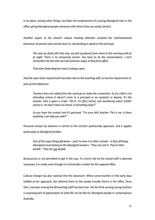In its place, among other things, has been the employment of a young Aboriginal man in the office, giving Aboriginal people someone with whom they can easily connect.

Another aspect of the school's culture needing attention involved the confrontational behaviour of parents who would storm in, demanding to speak to the principal.

*The way we dealt with that was, we pick up phones from seven in the morning until six at night. There is no answering service. You have to do the conversations. I can't remember the last time we had someone angry in that front office.*

*That door* [indicating her own]*is always open.*

And the open-door requirement has been laid on the teaching staff, as has the requirement to pick up the telephone.

*Teachers here are asked from the word go to make the connection. So if a child is not attending school, it doesn't come to a principal or an assistant or deputy. It's the teacher, who is given a script: "Oh hi. I'm (first name). Just wondering where (child's name) is. He hasn't been at school. Is everything okay?"*

*So you have the contact and it's personal. "I'm your kid's teacher. This is me. Is there anything I can help you with?"*

Personal contact by teachers is central to the school's partnership approach, and it applies particularly to Aboriginal families.

*One of the ways things fall down – and I've seen it in other schools – is that all things Aboriginal must belong to the Aboriginal workers. "They can sort it. They're their people." They are our people.*

Bureaucracy is not permitted to get in the way. If a home visit by the school staff is deemed necessary, it is made, even though it is technically a matter for the regional office.

Cultural change has also reached into the classroom. When some teachers in the early days bridled at her approach, she referred them to the purple transfer forms in her office. Since then, turnover among the 60 teaching staff has been low. Yet she finds among young teachers a surprising lack of appreciation of what life can be like for Aboriginal people in contemporary Australia.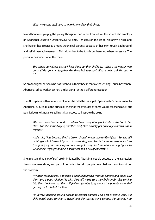# *What my young staff have to learn is to walk in their shoes.*

In addition to employing the young Aboriginal man in the front office, the school also employs an Aboriginal Education Officer (AEO) full time. Her status in the school hierarchy is high, and she herself has credibility among Aboriginal parents because of her own tough background and self-driven achievements. This allows her to be tough on them too when necessary. The principal described what this meant:

*She can be very direct. So she'll hear them but then she'll say, "What's the matter with you, sis? Get your act together. Get these kids to school. What's going on? You can do it."*

So an Aboriginal person who has "walked in their shoes" can say these things, but a bossy non-Aboriginal office worker cannot: similar signal, entirely different reception.

The AEO speaks with admiration of what she calls the principal's "passionate" commitment to Aboriginal culture. Like the principal, she finds the attitudes of some young teachers racist, but puts it down to ignorance, telling this anecdote to illustrate the point:

*We had a new teacher and I asked her how many Aboriginal students she had in her class. And she named a few, and then said, "I've actually got quite a few brown kids in my class".*

*And I said, "Just because they're brown doesn't mean they're Aboriginal." But she still didn't get what I meant by that. Another staff member in the room mentioned it to [the principal] and she jumped on it straight away. And the next morning I got into work and in my pigeonhole is a sorry card and a box of chocolates.*

She also says that a lot of staff are intimidated by Aboriginal people because of the aggression they sometimes show, and part of her role is to calm people down before trying to sort out the problem:

*My main responsibility is to have a good relationship with the parents and make sure they have a good relationship with the staff, make sure they feel comfortable coming into the school and that the staff feel comfortable to approach the parents, instead of getting me to do it all the time.*

*I'm always hanging around outside to contact parents. I do a lot of home visits. If a child hasn't been coming to school and the teacher can't contact the parents, I do*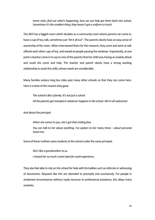*home visits, find out what's happening, how we can help get them back into school. Sometimes it's the smallest thing: they haven't got a uniform or lunch.*

The AEO has a biggish room which doubles as a community room where parents can come in, have a cup of tea, talk, sometimes just "let it all out". The parents clearly have an easy sense of ownership of the room. When interviewed there for this research, they came and went at will, offered each other cups of tea, and waved at people passing the windows. Importantly, at one point a teacher came in to say to one of the parents that her child was having an anxiety attack and could she come and help. The teacher and parent clearly have a strong working relationship to assist this child, whose needs are considerable.

Many families endure long bus rides past many other schools so that they can come here. Here is a taste of the reasons they gave:

*The school is like a family. It's not just a school. All the parents get included in whatever happens in the school. We're all welcomed.*

And about the principal:

*When she comes to you, she's got that smiling face. You can talk to her about anything. I've spoken to her many times – about personal issues too.*

Some of these mothers were students at the school under the same principal:

*She's like a grandmother to us. I missed her so much I came back for work experience.* 

They also feel able to rely on the school for help with formalities such as referrals or witnessing of documents. Requests like this are attended to promptly and courteously. For people in straitened circumstances without ready recourse to professional assistance, this allays many anxieties.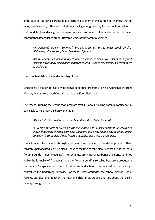In the case of Aboriginal parents, it also helps relieve them of the burden of "shames" that so many say they carry. "Shames" include not having enough money for a school excursion, as well as difficulties dealing with bureaucracy and institutions. It is a deeper and broader concept than is familiar to other Australian ears, as the parents explained:

*All Aboriginals are very "shamed". We get it, but it's hard to teach somebody else. We're very different people, and we think differently.*

*When I went to school I used to feel shame because we didn't have a lot of money and I used to have soggy baked bean sandwiches. And I used to feel shame. It's weird to try to explain it.*

The school exhibits a tacit understanding of this.

Educationally the school has a wide range of specific programs to help Aboriginal children: Monday Maths Mob, Koori Club, Make It Count, Koori Play and Chat.

The teacher running the Maths Mob program says it is about building parents' confidence in being able to help their children with maths.

*We are trying to give it an Aboriginal identity without being tokenistic.*

*I'm a big promoter of building those relationships. It's really important. Research has shown that's how children learn best. There are only a few hours a day at school, and if education is something that is fostered at home, that's only a good thing.*

The school involves parents through a process of consultation in the development of their children's personalised learning plans. These consultations take place in what the school calls "wrap-arounds" – not "meetings". The semantics are important. Aboriginal parents tend not to like the formality of "meetings", but the "wrap-around" is so called because it produces a plan which "wraps around" the child, at home and school. This personalised terminology neutralises the underlying formality. For these "wrap-arounds", the school provides food. Parents, grandparents, teacher, the AEO and child all sit around and talk about the child's journey through school.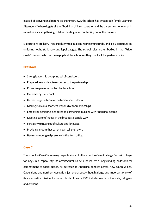Instead of conventional parent-teacher interviews, the school has what it calls "Pride Learning Afternoons" where it gets all the Aboriginal children together and the parents come to what is more like a social gathering. It takes the sting of accountability out of the occasion.

Expectations are high. The school's symbol is a lion, representing pride, and it is ubiquitous: on uniforms, walls, stationary and lapel badges. The school rules are embodied in the "Pride Guide". Parents who had been pupils at the school say they use it still for guidance in life.

# **Key factors**

- Strong leadership by a principal of conviction.
- Preparedness to devote resources to the partnership.
- Pro-active personal contact by the school.
- Outreach by the school.
- Unrelenting insistence on cultural respectfulness.
- Making individual teachers responsible for relationships.
- Employing personnel dedicated to partnership-building with Aboriginal people.
- Meeting parents' needs in the broadest possible way.
- Sensitivity to nuances of culture and language.
- Providing a room that parents can call their own.
- Having an Aboriginal presence in the front office.

# <span id="page-35-0"></span>**Case C**

The school in Case C is in many respects similar to the school in Case A: a large Catholic college for boys in a capital city, its architectural hauteur belied by a longstanding philosophical commitment to social justice. Its outreach to Aboriginal families across New South Wales, Queensland and northern Australia is just one aspect – though a large and important one – of its social justice mission. Its student body of nearly 1500 includes wards of the state, refugees and orphans.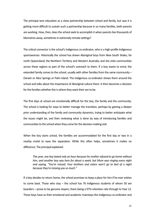The principal sees education as a close partnership between school and family, but says it is getting more difficult to sustain such a partnership because in so many families, both parents are working. How, then, does the school seek to accomplish it when parents live thousands of kilometres away, sometimes in extremely remote settings?

The critical connector is the school's Indigenous co-ordinator, who is a high-profile Indigenous sportswoman. Historically the school has drawn Aboriginal boys from New South Wales, far north Queensland, the Northern Territory and Western Australia, and she visits communities across these regions as part of the school's outreach to them. If a boy wants to enrol, the extended family comes to the school, usually with other families from the same community – Darwin or Alice Springs or Palm Island. The Indigenous co-ordinator shows them around the school and talks about the importance of Aboriginal culture there. It then becomes a decision for the families whether this is where they want their son to be.

The first days at school are emotionally difficult for the boy, the family and the community. The school is looking for ways to better manage the transition, perhaps by gaining a deeper prior understanding of the family and community dynamics, trying to better anticipate what the issues might be, and then reviewing what is done by way of introducing families and communities to the school when they come for the decision-making visit.

When the boy starts school, the families are accommodated for the first day or two in a nearby motel to ease the separation. While this often helps, sometimes it makes no difference. The principal explained:

*This year, one boy lasted only an hour because his mother refused to go home without him, and another boy was here for about a week, but Mum was ringing every night and saying, "You're missed. Your brothers and sisters won't go to bed of a night because they're missing you so much."*

If a boy decides to return home, the school promises to keep a place for him if he ever wishes to come back. Those who stay – the school has 76 Indigenous students of whom 50 are boarders – prove to be genuine stayers, there being a 97% retention rate through to Year 12. These boys have as their emotional and academic mainstays the Indigenous co-ordinator and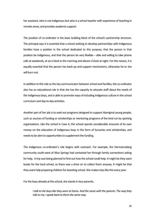her assistant, who is not Indigenous but who is a school teacher with experience of teaching in remote areas, and provides academic support.

The position of co-ordinator is the basic building block of the school's partnership structure. The principal says it is essential that a school wishing to develop partnerships with Indigenous families have a position in the school dedicated to this purpose, that the person in that position be Indigenous, and that the person be very flexible – able and willing to take phone calls at weekends, at six o'clock in the morning and eleven o'clock at night. For this reason, it is equally essential that the person has back-up and support mechanisms, otherwise he or she will burn out.

In addition to this role as the key communicator between school and families, the co-ordinator also has an educational role in that she has the capacity to educate staff about the needs of the Indigenous boys, and is able to promote ways of including Indigenous culture in the school curriculum and day-to-day activities.

Another part of her job is to seek out programs designed to support Aboriginal young people, such as sources of funding or scholarships or mentoring programs of the kind run by sporting organisations. Like the school in Case A, this school spends considerable amounts of its own money on the education of Indigenous boys in the form of bursaries and scholarships, and needs to be alert to opportunities to supplement the funding.

The Indigenous co-ordinator's role begins with outreach. For example, the Hermannsberg community south-west of Alice Springs had contacted her through family connections asking for help. A trip was being planned to find out how the school could help. It might be they want books for the local school, so there was a drive on to collect them anyway. It might be that they want help preparing children for boarding school. She makes trips like this every year.

For the boys already at the school, she stands in loco parentis.

*I talk to the boys like they were at home. And the same with the parents. The way they talk to me, I speak back to them the same way.*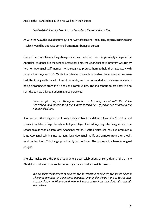And like the AEO at school B, she has walked in their shoes:

#### *I've lived their journey. I went to a school about the same size as this.*

As with the AEO, this gives legitimacy to her way of speaking – rebuking, cajoling, kidding along – which would be offensive coming from a non-Aboriginal person.

One of the more far-reaching changes she has made has been to genuinely integrate the Aboriginal students into the school. Before her time, the Aboriginal boys' program was run by two non-Aboriginal staff members who sought to protect them, to help them get away with things other boys couldn't. While the intentions were honourable, the consequences were bad: the Aboriginal boys felt different, separate, and this only added to their sense of already being disconnected from their lands and communities. The Indigenous co-ordinator is also sensitive to how this separation might be perceived:

*Some people compare Aboriginal children at boarding school with the Stolen Generation, and looked at on the surface it could be – if you're not embracing the Aboriginal culture.*

She sees to it the Indigenous culture is highly visible. In addition to flying the Aboriginal and Torres Strait Islands flags, the school last year played football in jerseys she designed with the school colours worked into local Aboriginal motifs. A gifted artist, she has also produced a large Aboriginal painting incorporating local Aboriginal motifs and symbols from the school's religious tradition. This hangs prominently in the foyer. The house shirts have Aboriginal designs.

She also makes sure the school as a whole does celebrations of sorry days, and that any Aboriginal curriculum content is checked by elders to make sure it is correct.

*We do acknowledgement of country, we do welcome to country, we get an elder in whenever anything of significance happens. One of the things I love is to see non-Aboriginal boys walking around with Indigenous artwork on their shirts. It's seen. It's everywhere.*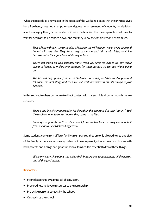What she regards as a key factor in the success of the work she does is that the principal gives her a free hand, does not attempt to second-guess her assessments of students, her decisions about managing them, or her relationship with the families. This means people don't have to wait for decisions to be handed down, and that they know she can deliver on her promises.

*They all know that if I say something will happen, it will happen. We are very open and honest with the kids. They know they can come and tell us absolutely anything because we're their guardians while they're here.*

*You're not giving up your parental rights when you send the kids to us, but you're giving us leeway to make some decisions for them because we can see what's going on.*

*The kids will ring up their parents and tell them something and then we'll ring up and tell them the real story, and then we will work out what to do. It's always a joint decision.*

In this setting, teachers do not make direct contact with parents: it is all done through the coordinator.

*There's one line of communication for the kids in this program. I'm their "parent". So if the teachers want to contact home, they come to me first.*

*Some of our parents can't handle contact from the teachers, but they can handle it from me because I'll deliver it differently.* 

Some students come from difficult family circumstances: they are only allowed to see one side of the family or there are restraining orders out on one parent; others come from homes with both parents and siblings and great supportive families. It is essential to know these things.

*We know everything about these kids: their background, circumstances, all the horrors and all the good stories.*

### **Key factors**

- Strong leadership by a principal of conviction.
- Preparedness to devote resources to the partnership.
- Pro-active personal contact by the school.
- Outreach by the school.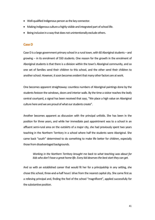- Well-qualified Indigenous person as the key connector.
- Making Indigenous culture a highly visible and integrated part of school life.
- Being inclusive in a way that does not unintentionally exclude others.

### **CaseD**

Case D is a large government primary school in a rural town, with 60 Aboriginal students – and growing -- in its enrolment of 550 students. One reason for the growth in the enrolment of Aboriginal students is that there is a division within the town's Aboriginal community, and so one set of families send their children to this school, and the other send their children to another school. However, it soon becomes evident that many other factors are at work.

One becomes apparent straightaway: countless numbers of Aboriginal paintings done by the students festoon the windows, doors and interior walls. By the time a visitor reaches the leafy central courtyard, a signal has been received that says, "We place a high value on Aboriginal culture here and we are proud of what our students create".

Another becomes apparent as discussion with the principal unfolds. She has been in the position for three years, and while her immediate past appointment was to a school in an affluent semi-rural area on the outskirts of a major city, she had previously spent two years teaching in the Northern Territory in a school where half the students were Aboriginal. She came back "south" determined to do something to make life better for children, especially those from disadvantaged backgrounds.

## *Working in the Northern Territory brought me back to what teaching was about for kids who don't have a great home life. Every kid deserves the best start they can get.*

And so with an established career that would fit her for a principalship in any setting, she chose this school, three-and-a-half hours' drive from the nearest capital city. She came first as a relieving principal and, finding the feel of the school "magnificent", applied successfully for the substantive position.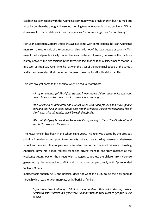Establishing connections with the Aboriginal community was a high priority, but it turned out to be harder than she thought. She set up morning teas. A few people came, but it was, "What do we want to make relationships with you for? You're only coming in. You're not staying."

Her Koori Education Support Officer (KESO) also came with complications: he is an Aboriginal man from the other side of the continent and so he is not of the local people or country. This meant the local people initially treated him as an outsider. However, because of the fractious history between the two factions in the town, the fact that he is an outsider means that he is also seen as impartial. Over time, he has won the trust of the Aboriginal people at the school, and is the absolutely critical connection between the school and its Aboriginal families.

This was brought home to the principal when he had six months off:

*All my attendance [of Aboriginal students] went down. All my communication went down. As soon as he came back, in a week it was amazing.*

*[The wellbeing co-ordinator] and I would work with Koori families and make phone calls and that kind of thing, but he goes into their houses. He knows where they live. If they're not with this family, they'll be with that family.*

*We can't find people. We don't know what's happening to them. They'll take off and we don't know what the issue is.*

The KESO himself has been in the school eight years. His role was altered by the previous principal from classroom support to community outreach. He is the key intermediary between school and families. He also goes many an extra mile in the course of his work: recruiting Aboriginal boys into a local football team and driving them to and from matches at the weekend; getting out on the streets with strategies to protect the children from violence generated by the internecine conflict and making sure people comply with Apprehended Violence Orders.

Indispensable though he is, the principal does not want the KESO to be the only conduit through which teachers communicate with Aboriginal families:

*My teachers have to develop a bit of muscle around this. They will readily ring a white person to discuss issues, but if it involves a Koori student, they want to get [the KESO] to do it.*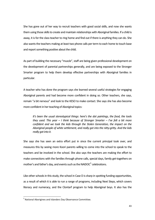She has gone out of her way to recruit teachers with good social skills, and now she wants them using those skills to create and maintain relationships with Aboriginal families. If a child is away, it is for the class teacher to ring home and find out if there is anything they can do. She also wants the teachers making at least two phone calls per term to each home to touch base and report something positive about the child.

As part of building the necessary "muscle", staff are being given professional development on the development of parental partnerships generally, and are being exposed to the Stronger Smarter program to help them develop effective partnerships with Aboriginal families in particular.

A teacher who has done the program says she learned several useful strategies for engaging Aboriginal parents and had become more confident in doing so. Other teachers, she says, remain "a bit nervous" and look to the KESO to make contact. She says she has also become more confident in her teaching of Aboriginal topics:

*It's been the usual stereotypical things: here's the dot paintings, the food, the tools they used. This year – I think because of Stronger Smarter – I've felt a bit more confident and we took the kids through the Stolen Generation, the impact on the Aboriginal people of white settlement, and really got into the nitty-gritty. And the kids really got into it.* 

She says she has seen an extra effort put in since the current principal took over, and measures this by seeing more Koori parents willing to come into the school to speak to the teachers and be involved in the school. She also says the teachers are making the effort to make connections with the families through phone calls, special days, family get-togethers on mother's and father's day, and events such as the  $NAIDOC<sup>5</sup>$  $NAIDOC<sup>5</sup>$  $NAIDOC<sup>5</sup>$  celebrations.

Like other schools in this study, the school in Case D is sharp in spotting funding opportunities, as a result of which it is able to run a range of programs, including Next Steps, which covers literacy and numeracy, and the Clontarf program to help Aboriginal boys. It also has the

<span id="page-42-0"></span><sup>&</sup>lt;sup>5</sup> National Aborigines and Islanders Day Observance Committee.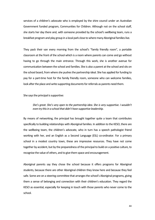services of a children's advocate who is employed by the shire council under an Australian Government funded program, Communities for Children. Although not on the school staff, she starts her day there and, with someone provided by the school's wellbeing team, runs a breakfast program and play group in a local park close to where many Aboriginal families live.

They pack their van every morning from the school's "family friendly room", a portable classroom at the front of the school which is a room where parents can come and go without having to go through the main entrance. Through this work, she is another avenue for communication between the school and families. She is also a parent at the school and sits on the school board, from where she pushes the partnership ideal. She has applied for funding to pay for a part-time host for the family friendly room, someone who can welcome families, look after the place and write supporting documents for referrals as parents need them.

She says the principal is supportive:

## *She's great. She's very open to the partnership idea. She is very supportive. I wouldn't even try this in a school that didn't have supportive leadership.*

By means of networking, the principal has brought together quite a team that contributes specifically to building relationships with Aboriginal families. In addition to the KESO, there are the wellbeing team, the children's advocate, who in turn has a speech pathologist friend working with her, and an English as a Second Language (ESL) co-ordinator. For a primary school in a modest country town, these are impressive resources. They have not come together by accident, but by the preparedness of the principal to build on a positive culture, to recognise the value of others, and to give them space and encouragement.

Aboriginal parents say they chose the school because it offers programs for Aboriginal students, because there are other Aboriginal children they know here and because they feel safe. Some are on a steering committee that arranges the school's Aboriginal programs, giving them a sense of belonging and connection with their children's education. They regard the KESO as essential, especially for keeping in touch with those parents who never come to the school.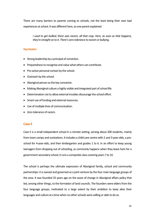There are many barriers to parents coming to schools, not the least being their own bad experiences at school. It was different here, as one parent explained:

*I used to get bullied, there was racism, all that crap. Here, as soon as that happens, they're straight on to it. There's zero tolerance to racism or bullying.*

#### **Key factors**

- Strong leadership by a principal of conviction.
- Preparedness to recognise and value what others can contribute.
- Pro-active personal contact by the school.
- Outreach by the school.
- Aboriginal person as the key connector.
- Making Aboriginal culture a highly visible and integrated part of school life.
- Determination not to allow external troubles discourage the school effort.
- Smart use of funding and external resources.
- Use of multiple lines of communication.
- Zero tolerance of racism.

#### **Case E**

Case E is a small independent school in a remote setting, serving about 200 students, mainly from town camps and outstations. It includes a child-care centre with 2 and 3-year-olds, a preschool for 4-year-olds, and then kindergarten and grades 1 to 6. In an effort to keep young teenagers from dropping out of schooling, as commonly happens when they leave here for a government secondary school, it runs a composite class covering years 7 to 10.

The school is perhaps the ultimate expression of Aboriginal family, school and community partnerships: it is owned and governed as a joint venture by the four main language groups of the area. It was founded 33 years ago on the wave of change in Aboriginal affairs policy that led, among other things, to the formation of land councils. The founders were elders from the four language groups, motivated to a large extent by their ambition to keep alive their languages and culture at a time when no other schools were willing or able to do so.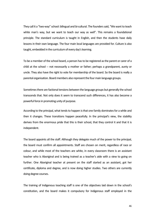They call it a "two-way" school: bilingual and bi-cultural. The founders said, "We want to teach white man's way, but we want to teach our way as well". This remains a foundational principle. The standard curriculum is taught in English, and then the students have daily lessons in their own language. The four main local languages are provided for. Culture is also taught, embedded in the curriculum of every day's learning.

To be a member of the school board, a person has to be registered as the parent or carer of a child at the school -- not necessarily a mother or father; perhaps a grandparent, aunty or uncle. They also have the right to vote for membership of the board. So the board is really a parental organisation. Board members also represent the four main language groups.

Sometimes there are factional tensions between the language groups but generally the school transcends that. Not only does it seem to transcend such differences, it has also become a powerful force in promoting unity of purpose.

According to the principal, what tends to happen is that one family dominates for a while and then it changes. These transitions happen peacefully. In the principal's view, the stability derives from the enormous pride that this is their school, that they control it and that it is independent.

The board appoints all the staff. Although they delegate much of the power to the principal, the board must confirm all appointments. Staff are chosen on merit, regardless of race or colour, and while most of the teachers are white, in every classroom there is an assistant teacher who is Aboriginal and is being trained as a teacher's aide with a view to going on further. One Aboriginal teacher at present on the staff started as an assistant, got her certificate, diploma and degree, and is now doing higher studies. Two others are currently doing degree courses.

The training of Indigenous teaching staff is one of the objectives laid down in the school's constitution, and the board makes it compulsory for Indigenous staff employed in the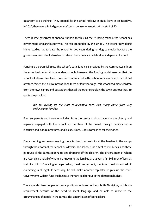classroom to do training. They are paid for the school holidays as study leave as an incentive. In 2010, there were 24 Indigenous staff doing courses – almost half the staff of 50.

There is little government financial support for this. Of the 24 being trained, the school has government scholarships for two. The rest are funded by the school. The teacher now doing higher studies had to leave the school for two years during her degree studies because the government would not allow her to take up her scholarship while at an independent school.

Funding is a perennial issue. The school's basic funding is provided by the Commonwealth on the same basis as for all independent schools. However, this funding model assumes that the school will also receive fee income from parents, but in this school very few parents can afford any fees. When the last count was done three or four years ago, this school had more children from the town camps and outstations than all the other schools in the town put together. To quote the principal:

*We are picking up the least emancipated ones. And many come from very dysfunctional families.*

Even so, parents and carers – including from the camps and outstations -- are directly and regularly engaged with the school: as members of the board, through participation in language and culture programs, and in excursions. Elders come in to tell the stories.

Every morning and every evening there is direct outreach to all the families in the camps through the efforts of the school bus drivers. The school runs a fleet of minibuses, and these go round all the camps picking up and dropping off the children. The drivers, most of whom are Aboriginal and all of whom are known to the families, are *de facto* family liaison officers as well. If a child isn't waiting to be picked up, the driver gets out, knocks on the door and asks if everything is all right. If necessary, he will make another trip later to pick up the child. Governments will not fund the buses so they are paid for out of the classroom budget.

There are also two people in formal positions as liaison officers, both Aboriginal, which is a requirement because of the need to speak language and be able to relate to the circumstances of people in the camps. The senior liaison officer explains: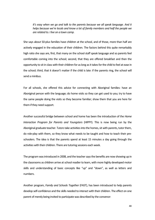*It's easy when we go and talk to the parents because we all speak language. And it helps because we're locals and know a lot of family members and half the people we are related to. I live on a town camp.*

She says about 50-plus families have children at the school, and of those, more than half are actively engaged in the education of their children. The factors behind this quite remarkably high ratio she says are, first, that many on the school staff speak language and so parents feel comfortable coming into the school; second, that they are offered breakfast and then the opportunity to sit in class with their children for as long as it takes for the child to feel at ease in the school; third, that it doesn't matter if the child is late: if the parents ring, the school will send a minibus.

For all schools, she offered this advice for connecting with Aboriginal families: have an Aboriginal person with the language; do home visits so they can get used to you; try to have the same people doing the visits so they become familiar; show them that you are here for them if they need support.

Another successful bridge between school and home has been the introduction of the *Home Interaction Program for Parents and Youngsters* (HIPPY). This is now being run by the Aboriginal graduate teacher. Tutors take activities into the homes, sit with parents, tutor them, do role-play with them, so they know what needs to be taught and how to teach their preschoolers. The idea is that the parents spend at least 15 minutes a day going through the activities with their children. There are tutoring sessions each week.

The program was introduced in 2008, and the teacher says the benefits are now showing up in the classrooms as children arrive at school readier to learn, with more highly developed motor skills and understanding of basic concepts like "up" and "down", as well as letters and numbers.

Another program, *Family and Schools Together* (FAST), has been introduced to help parents develop self-confidence and the skills needed to interact with their children. The effect on one parent of merely being invited to participate was described by the convenor: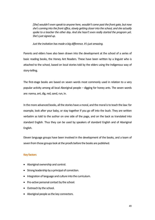*[She] wouldn't even speak to anyone here, wouldn't come past the front gate, but now she's coming into the front office, slowly getting closer into the school, and she actually spoke to a teacher the other day. And she hasn't even really started the program yet. She's just signed up.*

*Just the invitation has made a big difference. It's just amazing.*

Parents and elders have also been drawn into the development at the school of a series of basic reading books, the Honey Ant Readers. These have been written by a linguist who is attached to the school, based on local stories told by the elders using the Indigenous way of story-telling.

The first-stage books are based on seven words most commonly used in relation to a very popular activity among all local Aboriginal people – digging for honey ants. The seven words are: nanna, ant, dig, red, sand, run, in.

In the more advanced books, all the stories have a moral, and the moral is to teach the law: for example, look after your baby, or stay together if you go off into the bush. They are written verbatim as told to the author on one side of the page, and on the back as translated into standard English. Thus they can be used by speakers of standard English and of Aboriginal English.

Eleven language groups have been involved in the development of the books, and a team of seven from those groups look at the proofs before the books are published.

## **Key factors**

- Aboriginal ownership and control.
- Strong leadership by a principal of conviction.
- Integration of language and culture into the curriculum.
- Pro-active personal contact by the school.
- Outreach by the school.
- Aboriginal people as the key connectors.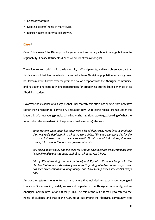- Generosity of spirit.
- Meeting parents' needs at many levels.
- Being an agent of parental self-growth.

### **Case F**

Case F is a Years 7 to 10 campus of a government secondary school in a large but remote regional city. It has 550 students, 48% of whom identify as Aboriginal.

The evidence from talking with the leadership, staff and parents, and from observation, is that this is a school that has conscientiously served a large Aboriginal population for a long time, has taken many initiatives over the years to develop a rapport with the Aboriginal community, and has been energetic in finding opportunities for broadening out the life experiences of its Aboriginal students.

However, the evidence also suggests that until recently this effort has sprung from necessity rather than philosophical conviction, a situation now undergoing radical change under the leadership of a new young principal. She knows she has a long way to go. Speaking of what she found when she arrived (within the previous twelve months), she says:

*Some systems were there, but there were a lot of throwaway racist lines, a lot of talk that was really detrimental to what we were doing. "Why are we doing this for the Aboriginal students and not everyone else?" All this sort of talk. It surprises me, coming into a school that has always dealt with this.*

*So I talked about equity and the need for us to be able to service all our students, and I've really had to educate some staff about what our role is here.*

*I'd say 50% of the staff are right on board, and 50% of staff are not happy with the clientele that we have. As with any school you'll get staff who'll run with change. There has been an enormous amount of change, and I have to step back a little and let things ride.* 

Among the systems she inherited was a structure that included two experienced Aboriginal Education Officers (AEOs), widely known and respected in the Aboriginal community, and an Aboriginal Community Liaison Officer (ACLO). The role of the AEOs is mainly to cater to the needs of students, and that of the ACLO to go out among the Aboriginal community, visit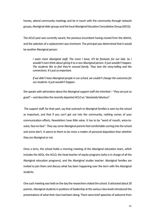homes, attend community meetings and be in touch with the community through network groups, Aboriginal elder groups and the local Aboriginal Education Consultative Group (AECG).

The ACLO post was currently vacant, the previous incumbent having moved from the district, and the selection of a replacement was imminent. The principal was determined that it would be another Aboriginal person:

*I want more Aboriginal staff. The more I have, it'll be fantastic for our kids. So I wouldn't even think about giving it to a non-Aboriginal person. It just wouldn't happen. The students like to feel they're around family. They love the story-telling and the connections. It's just so important.* 

*If we didn't have Aboriginal people in our school, we couldn't change the outcomes for our students. It just wouldn't happen.*

She speaks with admiration about the Aboriginal support staff she inherited – "they are just so good" – and describes the recently departed ACLO as "absolutely fabulous".

The support staff, for their part, say that outreach to Aboriginal families is seen by the school as important, and that if you can't get out into the community, nothing comes of your communication efforts. Newsletters have little value. It has to be "word of mouth, voice-tovoice, face-to-face". They say some Aboriginal parents feel comfortable coming into the school and some don't. It seems to them to be more a matter of personal disposition than whether they are Aboriginal or not.

Once a term, the school holds a morning meeting of the Aboriginal education team, which includes the AEOs, the ACLO, the head teacher of equity programs (who is in charge of all the Aboriginal education programs), and the Aboriginal studies teacher. Aboriginal families are invited to join them and discuss what has been happening over the term with the Aboriginal students.

One such meeting was held on the day the researchers visited the school. It attracted about 20 parents. Aboriginal students in positions of leadership at the various class levels introduced the presentations of what their class had been doing. There were brief speeches of welcome from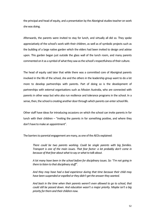the principal and head of equity, and a presentation by the Aboriginal studies teacher on work she was doing.

Afterwards, the parents were invited to stay for lunch, and virtually all did so. They spoke appreciatively of the school's work with their children, as well as of symbolic projects such as the building of a large native garden which the elders had been invited to design and advise upon. This garden began just outside the glass wall of the lunch room, and many parents commented on it as a symbol of what they saw as the school's respectfulness of their culture.

The head of equity said later that while there was a committed core of Aboriginal parents involved in the life of the school, she and the others in the leadership group want to do a lot more to develop partnerships with parents. Part of doing so is the development of partnerships with external organisations such as Mission Australia, who are connected with parents in other ways but who also run resilience and tolerance programs in the school. In a sense, then, the school is creating another door through which parents can enter school life.

Other staff have ideas for introducing occasions on which the school can invite parents in for lunch with their children  $-$  "inviting the parents in for something positive, and where they don't have to make an appointment".

The barriers to parental engagement are many, as one of the AEOs explained:

*There could be two parents working. Could be single parents with big families. Transport is one of the main issues. That fear factor: a lot probably don't come in because of that fear about what to say or what to talk about.*

*A lot many have been in the school before for disciplinary issues. So: "I'm not going in there to listen to that disciplinary stuff".*

*And they may have had a bad experience during that time because their child may have been suspended or expelled or they didn't get the answer they wanted.*

*And back in the time when their parents weren't even allowed to go to school, that could still be passed down. And education wasn't a major priority. Maybe isn't a big priority for them and their children now.*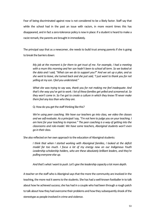Fear of being discriminated against now is not considered to be a likely factor. Staff say that while the school had in the past an issue with racism, in more recent times this has disappeared, and in fact a zero-tolerance policy is now in place: if a student is heard to make a racist remark, the parents are brought in immediately.

The principal says that as a newcomer, she needs to build trust among parents if she is going to break the barriers down:

*My job at the moment is for them to get trust of me. For example, I had a meeting with a mum this morning and her son hadn't been to school all term. So we looked at the data and I said, "What can we do to support you?" And we set up a plan, and as she went to leave, she turned back and she just said, "I just want to thank you for not yelling at my son. I feel you understand."*

*What she was trying to say was, thank you for not making me feel inadequate. And that's the way you've got to work. I lot of these families get yelled and screamed at. So they won't come in. So I've got to create a culture in which they know I'll never make them feel any less than who they are.* 

Q: How do you get the staff thinking like this?

*We're using peer coaching. We have our teachers go into class, we video the classes and we self-evaluate. As a principal I say, "I'm not here to judge you on your teaching. I am here for your teaching to improve." The peer coaching is a way of getting into the classrooms and role-model. We have some teachers, Aboriginal students won't even go in their class.* 

She also reflected on her own approach to the education of Aboriginal students:

*I think that when I started working with Aboriginal families, I looked at the deficit model far too much. I focus a lot of my energy now on our Indigenous Youth Leadership scholarship holders, who are these absolutely brilliant leaders, and they're pulling everyone else up.*

*And that's what I want to push. Let's give the leadership capacity a lot more depth.*

A teacher on the staff who is Aboriginal says that the more the community are involved in the teaching, the more real it seems to the students. She has had a well-known footballer in to talk about how he achieved success; she has had in a couple who had been through a rough patch to talk about how they had overcome their problems and how they subsequently shook of the stereotype as people involved in crime and violence.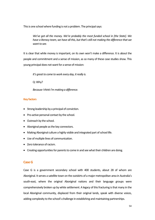This is one school where funding is not a problem. The principal says:

*We've got all the money. We're probably the most funded school in [the State]. We have a literacy team, we have all this, but that's still not making the difference that we want to see.*

It is clear that while money is important, on its own won't make a difference. It is about the people and commitment and a sense of mission, as so many of these case studies show. This young principal does not want for a sense of mission:

*It's great to come to work every day, it really is.*

Q: Why?

*Because I think I'm making a difference.* 

#### **Key factors**

- Strong leadership by a principal of conviction.
- Pro-active personal contact by the school.
- Outreach by the school.
- Aboriginal people as the key connectors.
- Making Aboriginal culture a highly visible and integrated part of school life.
- Use of multiple lines of communication.
- Zero tolerance of racism.
- Creating opportunities for parents to come in and see what their children are doing.

#### **Case G**

Case G is a government secondary school with 400 students, about 28 of whom are Aboriginal. It serves a satellite town on the outskirts of a major metropolitan area in Australia's south-east, where the original Aboriginal nations and their language groups were comprehensively broken up by white settlement. A legacy of this fracturing is that many in the local Aboriginal community, displaced from their original lands, speak with diverse voices, adding complexity to the school's challenge in establishing and maintaining partnerships.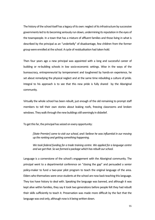The history of the school itself has a legacy of its own: neglect of its infrastructure by successive governments led to its becoming seriously run down, undermining its reputation in the eyes of the townspeople. In a town that has a mixture of affluent families and those living in what is described by the principal as an "underbelly" of disadvantage, few children from the former group were enrolled at the school. A cycle of residualisation had taken hold.

Then four years ago a new principal was appointed with a long and successful career of building or re-building schools in low socio-economic settings. Wise in the ways of the bureaucracy, entrepreneurial by temperament and toughened by hands-on experience, he set about remedying the physical neglect and at the same time rebuilding a culture of pride. Integral to his approach is to see that this new pride is fully shared by the Aboriginal community.

Virtually the whole school has been rebuilt, just enough of the old remaining to prompt staff members to tell their own stories about leaking roofs, freezing classrooms and broken windows. They walk through the new buildings still seemingly in disbelief.

To get this far, the principal has seized on every opportunity:

*[State Premier] came to visit our school, and I believe he was influential in our moving up the ranking and getting something happening.*

We took federal funding for a trade training centre. We applied for a language centre and we got that. So we formed a package which has rebuilt our school.

Language is a cornerstone of the school's engagement with the Aboriginal community. The principal went to a departmental conference on "closing the gap" and persuaded a senior policy-maker to fund a two-year pilot program to teach the original language of the area. Elders who themselves were once students at the school are now back teaching this language. They too have history to deal with. Speaking the language was banned, and although it was kept alive within families, they say it took two generations before people felt they had rebuilt their skills sufficiently to teach it. Preservation was made more difficult by the fact that the language was oral only, although now is it being written down.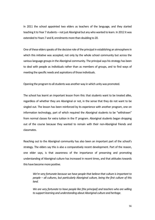In 2011 the school appointed two elders as teachers of the language, and they started teaching it to Year 7 students – not just Aboriginal but any who wanted to learn. In 2012 it was extended to Years 7 and 8, enrolments more than doubling to 20.

One of these elders speaks of the decisive role of the principal in establishing an atmosphere in which this initiative was accepted, not only by the whole school community but across the various language groups in the Aboriginal community. The principal says his strategy has been to deal with people as individuals rather than as members of groups, and to find ways of meeting the specific needs and aspirations of those individuals.

Opening the program to all students was another way in which unity was promoted.

The school has learnt an important lesson from this: that students want to be treated alike, regardless of whether they are Aboriginal or not, in the sense that they do not want to be singled out. The lesson has been reinforced by its experience with another program, one on information technology, part of which required the Aboriginal students to be "withdrawn" from normal classes for extra tuition in the IT program. Aboriginal students began dropping out of the course because they wanted to remain with their non-Aboriginal friends and classmates.

Reaching out to the Aboriginal community has also been an important part of the school's strategy. The elders say this is also a comparatively recent development. Part of the reason, one elder says, is that awareness of the importance of preserving and promoting understanding of Aboriginal culture has increased in recent times, and that attitudes towards this have become more positive.

*We're very fortunate because we have people that believe that culture is important to people – all cultures, but particularly Aboriginal culture, being the first culture of this land.* 

*We are very fortunate to have people like [the principal] and teachers who are willing to support learning and understanding about Aboriginal culture and heritage.*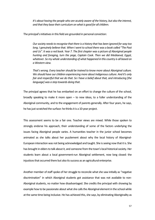*It's about having the people who are acutely aware of the history, but also the interest, and that they base their curriculum on what is good for all children.*

The principal's initiatives in this field are grounded in personal conviction:

*Our society needs to recognise that there is a history that has been ignored for way too long. I genuinely believe that. When I went to school there was a book called "The Past and Us". It was a red book. Year 7. The first chapter was a picture of Aboriginal people hunting and foraging, turn the page, Captain Cook. Then we did Mediaeval, Egypt, whatever. So my whole understanding of what happened in this country is all based on a Western view.*

*That's wrong. Every teacher should be trained to know more about Aboriginal culture. We should have our children experiencing more about Indigenous culture. And it's only fair and respectful that we do that. So I have a belief about that, and introducing [the language] was a step towards doing that.*

The principal agrees that he has embarked on an effort to change the culture of the school, broadly speaking to make it more open  $-$  to new ideas, to a fuller understanding of the Aboriginal community, and to the engagement of parents generally. After four years, he says, he has just scratched the surface: he thinks it is a 10-year project.

This assessment seems to be a fair one. Teacher views are mixed. While those spoken to strongly endorse his approach, their understanding of some of the factors underlying the issues facing Aboriginal people varies. A humanities teacher in the junior school becomes animated as she talks about her puzzlement about why the local history of Aboriginal-European interaction was not being acknowledged and taught. She is seeing now that it is. She has brought in elders to talk about it, and someone from the town's local historical society. Her students learn about a local government-run Aboriginal settlement, now long closed: the injustices that occurred there but also its success as an agricultural enterprise.

Another member of staff spoke of her struggle to reconcile what she saw initially as "negative discrimination" in which Aboriginal students got assistance that was not available to non-Aboriginal students, no matter how disadvantaged. She credits the principal with showing by example how to be passionate about what she calls the Aboriginal element in the school while at the same time being inclusive. He has achieved this, she says, by eliminating Aboriginality as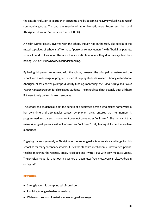the basis for inclusion or exclusion in programs, and by becoming heavily involved in a range of community groups. The two she mentioned as emblematic were Rotary and the Local Aboriginal Education Consultative Group (LAECG).

A health worker closely involved with the school, though not on the staff, also speaks of the mixed capacities of school staff to make "personal connectedness" with Aboriginal parents, who still tend to look upon the school as an institution where they don't always feel they belong. She puts it down to lack of understanding.

By having this person so involved with the school, however, the principal has networked the school into a wide range of programs aimed at helping students in need – Aboriginal and non-Aboriginal alike: leadership camps, disability funding, mentoring, the *Good, Strong and Proud Young Women* program for disengaged students. The school could not possibly offer all these if it were to rely only on its own resources.

The school and students also get the benefit of a dedicated person who makes home visits in her own time and also regular contact by phone, having ensured that her number is programmed into parents' phones so it does not come up as "unknown". She has learnt that many Aboriginal parents will not answer an "unknown" call, fearing it to be the welfare authorities.

Engaging parents generally – Aboriginal or non-Aboriginal – is as much a challenge for this school as for many secondary schools. It uses the standard mechanisms – newsletter, parentteacher meetings, the website, email, Facebook and Twitter, but with only modest success. The principal holds his hands out in a gesture of openness: "You know, you can always drop in or ring us!"

#### **Key factors**

- Strong leadership by a principal of conviction.
- Involving Aboriginal elders in teaching.
- Widening the curriculum to include Aboriginal language.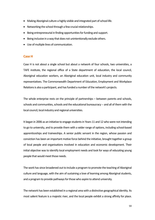- Making Aboriginal culture a highly visible and integrated part of school life.
- Networking the school through a few crucial relationships.
- Being entrepreneurial in finding opportunities for funding and support.
- Being inclusive in a way that does not unintentionally exclude others.
- Use of multiple lines of communication.

### **Case H**

Case H is not about a single school but about a network of four schools, two universities, a TAFE institute, the regional office of a State department of education, the local council, Aboriginal education workers, an Aboriginal education unit, local industry and community representatives. The Commonwealth Department of Education, Employment and Workplace Relations is also a participant, and has funded a number of the network's projects.

The whole enterprise rests on the principle of partnerships – between parents and schools, schools and communities, schools and the educational bureaucracy -- and all of them with the local council, local industry and regional universities.

It began in 2006 as an initiative to engage students in Years 11 and 12 who were not intending to go to university, and to provide them with a wider range of options, including school-based apprenticeships and traineeships. A senior public servant in the region, whose passion and conviction has been an important motive force behind the initiative, brought together a group of local people and organisations involved in education and economic development. Their initial objective was to identify local employment needs and look for ways of educating young people that would meet those needs.

The work has since broadened out to include a program to promote the teaching of Aboriginal culture and language, with the aim of sustaining a love of learning among Aboriginal students, and a program to provide pathways for those who aspire to attend university.

The network has been established in a regional area with a distinctive geographical identity. Its most salient feature is a majestic river, and the local people exhibit a strong affinity for place.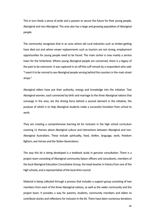This in turn feeds a sense of pride and a passion to secure the future for their young people, Aboriginal and non-Aboriginal. The area also has a large and growing population of Aboriginal people.

The community recognises that in an area where old rural industries such as timber-getting have died out and where newer replacements such as tourism are not strong, employment opportunities for young people need to be found. The main centre is now mainly a service town for the hinterland. Where young Aboriginal people are concerned, there is a legacy of the past to be overcome. It was captured in an off-the-cuff remark by a respondent who said: "I want it to be normal to see Aboriginal people serving behind the counters in the main street shops."

Aboriginal elders have put their authority, energy and knowledge into the initiative. Two Aboriginal women, each connected by birth and marriage to the three Aboriginal nations that converge in the area, are the driving force behind a second element in the initiative, the purpose of which is to help Aboriginal students make a successful transition from school to work.

They are creating a comprehensive learning kit for inclusion in the high school curriculum covering 11 themes about Aboriginal culture and interactions between Aboriginal and non-Aboriginal Australians. These include spirituality, food, shelter, language, work, freedom fighters, war heroes and the Stolen Generations.

The way this kit is being developed is a textbook study in genuine consultation. There is a project team consisting of Aboriginal community liaison officers and consultants, members of the local Aboriginal Education Consultative Group, the head teacher in history from one of the high schools, and a representative of the local shire council.

Material is being collected through a process that includes a support group consisting of two members from each of the three Aboriginal nations, as well as the wider community and the project team. It provides a way for parents, students, community members and elders to contribute stories and reflections for inclusion in the kit. There have been numerous iterations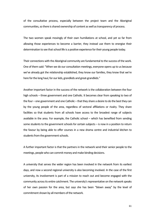of the consultative process, especially between the project team and the Aboriginal communities, so there is shared ownership of content as well as transparency of process.

The two women speak movingly of their own humiliations at school, and yet so far from allowing those experiences to become a barrier, they instead use them to energise their determination to see that school life is a positive experience for their young people today.

Their connections with the Aboriginal community are fundamental to the success of the work. One of them said: "When we do our consultation meetings, everyone opens up to us because we've already got the relationship established, they know our families, they know that we're here for the long haul, for our kids, grandkids and great-grandkids."

Another important factor in the success of the network is the collaboration between the four high schools – three government and one Catholic. It becomes clear from speaking to two of the four – one government and one Catholic – that they share a desire to do the best they can by the young people of the area, regardless of sectoral affiliations or rivalry. They share facilities so that students from all schools have access to the broadest range of subjects available in the area. For example, the Catholic school – which has benefited from sending some students to the government schools for certain subjects – is now in a position to return the favour by being able to offer courses in a new drama centre and industrial kitchen to students from the government schools.

A further important factor is that the partners in the network send their senior people to the meetings, people who can commit money and make binding decisions.

A university that serves the wider region has been involved in the network from its earliest days, and now a second regional university is also becoming involved. In the case of the first university, its involvement is part of a mission to reach out and become engaged with the community across its entire catchment. The university's representative on the network speaks of her own passion for the area, but says she has been "blown away" by the level of commitment shown by all members of the network.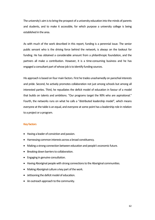The university's aim is to bring the prospect of a university education into the minds of parents and students, and to make it accessible, for which purpose a university college is being established in the area.

As with much of the work described in this report, funding is a perennial issue. The senior public servant who is the driving force behind the network, is always on the lookout for funding. He has obtained a considerable amount from a philanthropic foundation, and the partners all make a contribution. However, it is a time-consuming business and he has engaged a consultant part of whose job is to identify funding sources.

His approach is based on four main factors. First he trades unashamedly on parochial interests and pride. Second, he actively promotes collaboration not just among schools but among all interested parties. Third, he repudiates the deficit model of education in favour of a model that builds on talents and ambitions. "Our programs target the 90% who are aspirational." Fourth, the networks runs on what he calls a "distributed leadership model", which means everyone at the table is an equal, and everyone at some point has a leadership role in relation to a project or a program.

#### **Key factors**

- Having a leader of conviction and passion.
- Harnessing common interests across a broad constituency.
- Making a strong connection between education and people's economic future.
- Breaking down barriers to collaboration.
- Engaging in genuine consultation.
- Having Aboriginal people with strong connections to the Aboriginal communities.
- Making Aboriginal culture a key part of the work.
- Jettisoning the deficit model of education.
- An outreach approach to the community.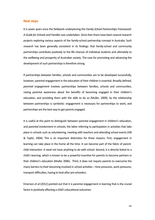#### **Next steps**

It is seven years since the fieldwork underpinning the *Family-School Partnerships Framework: A Guide for Schools and Families* was undertaken. Since then there have been several research projects exploring various aspects of the family-school partnership concept in Australia. Such research has been generally consistent in its findings: that family-school and community partnerships contribute positively to the life chances of individual students and ultimately to the wellbeing and prosperity of Australian society. The case for promoting and advancing the development of such partnerships is therefore strong.

If partnerships between families, schools and communities are to be developed successfully, however, parental engagement in the education of their children is essential. Broadly defined, *parental engagement* involves partnerships between families, schools and communities, raising parental awareness about the benefits of becoming engaged in their children's education, and providing them with the skills to do so (Muller, 2009). So the relationship between partnerships is symbiotic: engagement is necessary for partnerships to work, and partnerships are the best way to get parents engaged.

It is useful at this point to distinguish between parental engagement in children's education, and *parental involvement* in schools, the latter referring to participation in activities that take place in schools such as volunteering, meeting with teachers and attending school events (Hill & Taylor, 2004). This is an important distinction for three reasons. First, engagement in learning can take place in the home all the time. It can become part of the fabric of parentchild interaction. It need not have anything to do with school. Second, it is directly linked to a child's learning, which is known to be a powerful incentive for parents to become partners in their children's education (Muller 2006). Third, it does not require parents to overcome the many barriers to their becoming involved in school activities – time pressures, work pressures, transport difficulties, having to look after pre-schoolers.

Emerson *et al* (2012) pointed out that it is parental engagement in learning that is the crucial factor in positively affecting a child's educational outcomes: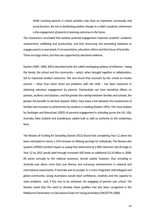*While involving parents in school activities may have an important community and social function, the key to facilitating positive change in a child's academic attainment is the engagement of parents in learning outcomes in the home.*

The researchers concluded that positive parental engagement improves students' academic achievement, wellbeing and productivity, and that resourcing and promoting initiatives to engage parents is warranted, if not essential to, education reform and the future of Australia. These are large claims, but they are supported by abundant evidence.

Epstein (1987, 1996, 2001) described what she called overlapping spheres of influence – being the family, the school and the community – which, when brought together in collaboration, led to improved student outcomes. She also found that outreach by the school to involve parents -- other than when there are problems with the child -- has been important in obtaining voluntary engagement by parents. Partnerships can have beneficial effects on parents, students and teachers, and the greater the overlap between families and schools, the greater the benefits to all three (Epstein 2001). Data show a link between the involvement of families and increases in achievement by students in reading (Epstein 1991). The meta analysis by Desforges and Abouchaar (2002) of parental engagement in schooling across the UK, USA, Australia, New Zealand and Scandinavia, added bulk as well as authority to this evidentiary base.

The Review of Funding for Schooling (Gonski 2011) found that completing Year 12 alone has been estimated to return a 15% increase on lifelong earnings for individuals. The Review also quoted a KPMG Econtech report as saying that attainment of a 90% retention rate through to Year 12 by 2015 would yield through increased skill levels an additional \$11.8 billion in 2008- 09 prices annually to the national economy. Gonski stated, however, that schooling in Australia was about more than just literacy and numeracy achievements in national and international assessments. If Australia was to prosper in a more integrated, technological and global community, young Australians would need confidence, creativity and the capacity to solve problems and, if this was to be achieved, the engaging of parents was critical. The Review noted that the need to develop these qualities had also been recognised in the Melbourne Declaration on Educational Goals for Young Australians (MCEETYA 2008).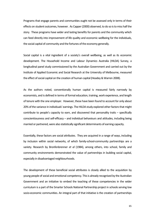Programs that engage parents and communities ought not be assessed only in terms of their effects on student outcomes, however. As Capper(2000) observed, to do so is to miss half the story. These programs have wider and lasting benefits for parents and the community which can feed directly into improvement of life quality and economic wellbeing for the individuals, the social capital of community and the fortunes of the economy generally.

Social capital is a vital ingredient of a society's overall wellbeing, as well as its economic development. The Household Income and Labour Dynamics Australia (HILDA) Survey, a longitudinal panel study commissioned by the Australian Government and carried out by the Institute of Applied Economic and Social Research at the University of Melbourne, measured the effect of social capital on the creation of human capital (Headey & Warren 2008).

As the authors noted, conventionally human capital is measured fairly narrowly by economists, and is defined in terms of formal education, training, work experience, and length of tenure with the one employer. However, these have been found to account for only about 20% of the variance in individuals' earnings. The HILDA study explored other factors that might contribute to people's capacity to earn, and discovered that personality traits – specifically conscientiousness and self-efficacy – and individual behaviours and attitudes, including being married or partnered, were also statistically significant determinants of earning capacity.

Essentially, these factors are social attributes. They are acquired in a range of ways, including by inclusion within social networks, of which family-school-community partnerships are a variety. Research by Bronfenbrenner *et al* (1984), among others, into school, family and community environments demonstrated the value of partnerships in building social capital, especially in disadvantaged neighbourhoods.

The development of these beneficial social attributes is closely allied to the acquisition by young people of social and emotional competency. This is already recognised by the Australian Government and an initiative to embed the teaching of these competencies in the wider curriculum is a part of the Smarter Schools National Partnership project in schools serving low socio-economic communities. An integral part of that initiative is the creation of partnerships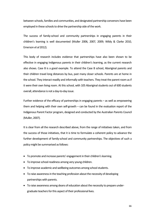between schools, families and communities, and designated partnership convenors have been employed in these schools to drive the partnership side of the work.

The success of family-school and community partnerships in engaging parents in their children's learning is well documented (Muller 2006, 2007, 2009; Wildy & Clarke 2010, Emerson *et al* 2012).

This body of research includes evidence that partnerships have also been shown to be effective in engaging Indigenous parents in their children's learning, as the current research also shows. Case B is a good example. To attend the Case B school, Aboriginal parents and their children travel long distances by bus, past many closer schools. Parents are at home in the school. They interact readily and informally with teachers. They treat the parent room as if it were their own living room. At this school, with 105 Aboriginal students out of 600 students overall, attendance is not a day-to-day issue.

Further evidence of the efficacy of partnerships in engaging parents – as well as empowering them and helping with their own self-growth – can be found in the evaluation report of the Indigenous Parent Factor program, designed and conducted by the Australian Parents Council (Muller, 2007).

It is clear from all the research described above, from the range of initiatives taken, and from the success of those initiatives, that it is time to formulate a coherent policy to advance the further development of family-school and community partnerships. The objectives of such a policy might be summarised as follows:

- To promote and increase parents' engagement in their children's learning.
- To improve school readiness among very young children.
- To improve academic and wellbeing outcomes among school students.
- To raise awareness in the teaching profession about the necessity of developing partnerships with parents.
- To raise awareness among deans of education about the necessity to prepare undergraduate teachers for this aspect of their professional lives.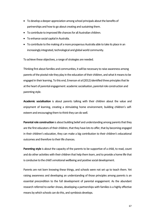- To develop a deeper appreciation among school principals about the benefits of partnerships and how to go about creating and sustaining them.
- To contribute to improved life chances for all Australian children.
- To enhance social capital in Australia.
- To contribute to the making of a more prosperous Australia able to take its place in an increasingly integrated, technological and global world community.

To achieve these objectives, a range of strategies are needed.

Thinking first about families and communities, it will be necessary to raise awareness among parents of the pivotal role they play in the education of their children, and what it means to be engaged in their learning. To this end, Emerson *et al*(2012) identified three principles that lie at the heart of parental engagement: academic socialisation, parental role construction and parenting style.

**Academic socialisation** is about parents talking with their children about the value and enjoyment of learning, creating a stimulating home environment, building children's selfesteem and encouraging them to think they can do well.

**Parental role construction** is about building belief and understanding among parents that they are the first educators of their children, that they have lots to offer, that by becoming engaged in their children's education, they can make a big contribution to their children's educational outcomes and therefore to their life chances.

**Parenting style** is about the capacity of the parents to be supportive of a child, to read, count and do other activities with their children that help them learn, and to provide a home life that is conducive to the child's emotional wellbeing and positive social development.

Parents are not born knowing these things, and schools were not set up to teach them. Yet raising awareness and developing an understanding of those principles among parents is an essential precondition to the full development of parental engagement. As the abundant research referred to earlier shows, developing a partnerships with families is a highly effective means by which schools can do this, and symbiosis develops.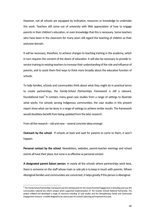However, not all schools are equipped by inclination, resources or knowledge to undertake this work. Teachers still come out of university with little appreciation of how to engage parents in their children's education, or even knowledge that this is necessary. Some teachers who have been in the classroom for many years still regard the teaching of children as their exclusive domain.

It will be necessary, therefore, to achieve changes to teaching training in the academy, which in turn requires the consent of the deans of education. It will also be necessary to provide inservice training to existing teachers to increase their understanding of the role and influence of parents, and to assist them find ways to think more broadly about the educative function of schools.

To help families, schools and communities think about what they might do in practical terms to create partnerships, the *Family-School Partnerships Framework* is still a relevant, foundational tool.<sup>[6](#page-67-0)</sup> It contains many good case studies from a range of settings to illustrate what works. For schools serving Indigenous communities, the case studies in this present report show what can be done in a range of settings to achieve similar results. The framework would doubtless benefit from being updated from the later research.

From all the research – old and new -- several concrete ideas emerge:

**Outreach by the school.** If schools sit back and wait for parents to come to them, it won't happen.

**Personal contact by the school**. Newsletters, websites, parent-teacher evenings and school events all have their place, but none is as effective as personal contact.

**A designated parent liaison person**. In nearly all the schools where partnerships work best, there is someone on the staff whose main or sole job is to keep in touch with parents. Where Aboriginal families and communities are concerned, it helps greatly if this person is Aboriginal.

<span id="page-67-0"></span> <sup>6</sup> <sup>6</sup> The Family-School Partnerships Framework was the starting point for the recent Parental Engagement in Schooling and Low SES Communities national key reform project which supported implementation of the Smarter Schools National Partnership. The project collated and developed a range of resources including 15 case studies and the *Strengthening Family and Community Engagement*resource -a toolkit designed to be used as part of a school'splanning and improvement cycle.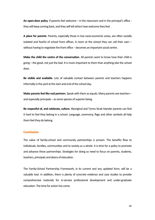**An open-door policy**. If parents feel welcome – in the classroom and in the principal's office they will keep coming back, and they will tell others how welcome they feel.

**A place for parents**. Parents, especially those in low socio-economic areas, are often socially isolated and fearful of school front offices. A room at the school they can call their own – without having to negotiate the front office -- becomes an important social centre.

**Make the child the centre of the conversation**. All parents want to know how their child is going – the good, not just the bad. It is more important to them than anything else the school does.

**Be visible and available**. Lots of valuable contact between parents and teachers happens informally in the yard at the start and end of the school day.

**Make parents feel like real partners**. Speak with them as equals. Many parents see teachers – and especially principals – as some species of superior being.

**Be respectful of, and celebrate, culture**. Aboriginal and Torres Strait Islander parents can find it hard to feel they belong in a school. Language, ceremony, flags and other symbols all help them feel they do belong.

#### **Conclusion**

The value of family-school and community partnerships is proven. The benefits flow to individuals, families, communities and to society as a whole. It is time for a policy to promote and advance these partnerships. Strategies for doing so need to focus on parents, students, teachers, principals and deans of education.

The Family-School Partnership Framework, in its current and any updated form, will be a valuable tool. In addition, there is plenty of concrete evidence and case studies to provide comprehensive materials for in-service professional development and under-graduate education. The time for action has come.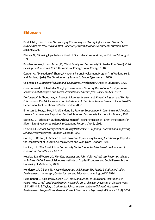## **Bibliography**

Biddulph F., J. and C., *The Complexity of Community and Family Influences on Children's Achievement in New Zealand: Best Evidence Synthesis Iteration,*Ministry of Education, New Zealand 2003.

Blainey, G., "Drawing Up a Balance Sheet of Our History" in *Quadrant*, Vol 37 nos 7-8, August 1993..

Bronfenbrenner, U., and Moen, P., "Child, Family and Community" in Peake, Ross D (ed), *Child Development Research, Vol 7,*University of Chicago Press, Chicago, 1984.

Capper, A., "Evaluation of 'Share', A National Parent Involvement Program", in Wolfendale, S. and Bastiani, J (eds), *The Contribution of Parents to School Effectiveness*, 2000.

Coleman, J. S., *Equality of Educational Opportunity*, Washington, Office of Education, 1966.

Commonwealth of Australia, *Bringing Them Home – Report of the National Inquiry into the Separation of Aboriginal and Torres Strait Islander Children from Their Families*, , 1997.

Desforges, C. & Abouchaar, A., *Impact of Parental involvement, Parental Support and Family Education on Pupil Achievement and Adjustment: A Literature Review*, Research Paper No 433, Department for Education and Skills, London, 2002.

Emerson, L., Fear, J., Fox, S. And Sanders, E.,, *Parental Engagement in Learning and Schooling: Lessons from research*, Report for Family-School and Community Partnerships Bureau, 2012.

Epstein J. L., "Effects on Student Achievement of Teacher Practices of Parent Involvement" in Silvern S. (ed), *Advances in Reading/Language Research,* Vol 5, 1991.

Epstein, J. L., *School, Family and Community Partnerships: Preparing Educators and Improving Schools*, Westview Press, Boulder, Colorado, 2001.

Gonski, D., Boston, K., Greiner, K. and Lawrence, C., *Review of Funding for Schooling*, Report to the Department of Education, Employment and Workplace Relations, 2011.

Hanifan, L. J., "The Rural School Community Center", *Annals of the American Academy of Political and Social Science* 67, 1916..

Headey, B. and Warren, D., *Families, Incomes and Jobs,* Vol 3: *A Statistical Report on Waves 1 to 5 of the HILDA Survey*, Melbourne Institute of Applied Economic and Social Research, the University of Melbourne, 2008.

Henderson, A. & Berla, N., *A New Generation of Evidence: The Family is Critical to Student Achievement*, monograph, Center for Law and Education, Washington DC, 1994.

Hess, Robert D. & Holloway, Susan D., "Family and School as Educational Institutions" in Peake, Ross D. (ed) *Child Development Research,* Vol 7, Chicago, University of Chicago Press, 1984.Hill, N. E. & Taylor, L. C., *Parental School Involvement and Children's Academic Achievement: Pragmatics and Issues*. Current Directions in Psychological Science, 13 (4), 2004..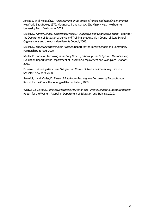Jencks, C. et al, *Inequality: A Reassessment of the Effects of Family and Schooling in America*, New York, Basic Books, 1972. Macintyre, S. and Clark A., *The History Wars*, Melbourne University Press, Melbourne, 2003.

Muller, D., *Family-School Partnerships Project: A Qualitative and Quantitative Study*, Report for the Department of Education, Science and Training, the Australian Council of State School Organisations and the Australian Parents Council, 2006.

Muller, D., *Effective Partnerships in Practice*, Report for the Family-Schools and Community Partnerships Bureau, 2009.

Muller, D., Successful *Learning in the Early Years of Schooling: The Indigenous Parent Factor*, Evaluation Report for the Department of Education, Employment and Workplace Relations, 2007.

Putnam, R., *Bowling Alone: The Collapse and Revival of American Community*, Simon & Schuster, New York, 2000.

Saulwick, I. and Muller, D., *Research into Issues Relating to a Document of Reconciliation*, Report for the Council for Aboriginal Reconciliation, 2000.

Wildy, H. & Clarke, S., *Innovative Strategies for Small and Remote Schools: A Literature Review*, Report for the Western Australian Department of Education and Training, 2010.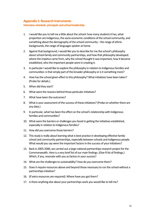# **Appendix 1: Research Instruments**

### **Interview schedule: principals and school leadership**

- 1. I would like you to tell me a little about the school: how many students it has, what proportion are Indigenous, the socio-economic conditions of the school community, and something about the demography of the school community – the range of ethnic backgrounds, the range of languages spoken at home.
- 2. Against that background, I would like you to describe for me the school's philosophy about school-family and community partnerships, and how that philosophy developed: where the impetus came from, why the school thought it was important, how it became established, who the important people were in creating it.
- 3. In particular I would like to explore the philosophy in relation to Indigenous families and communities: is that simply part of the broader philosophy or is it something more?
- 4. How has the school given effect to this philosophy? What initiatives have been taken? (Probe for details.)
- 5. When did they start?
- 6. What were the reasons behind those particular initiatives?
- 7. What have been the outcomes?
- 8. What is your assessment of the success of these initiatives? (Probe on whether there are any data.)
- 9. In particular, what has been the effect on the school's relationship with Indigenous families and communities?
- 10. What were the barriers or challenges you faced in getting the initiatives established, especially in relation to Indigenous families?
- 11. How did you overcome those barriers?
- 12. This study is really about learning what is best practice in developing effective familyschool and community partnerships, especially between schools and Indigenous people. What would you say were the important factors in the success of your initiatives?
- 13. Back in 2005-2006, we carried out a large national partnerships research project for the Commonwealth. Here is a very brief list of our main findings. (Give R list of findings.) Which, if any, resonate with you as factors in your success?
- 14. What are the challenges to sustainability? How do you overcome them?
- 15. Does it require resources above and beyond those necessary to run the school without a partnerships initiative?
- 16. (If extra resources are required): Where have you got them?
- 17. Is there anything else about your partnerships work you would like to tell me?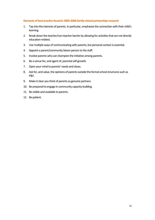## **Elements of best practice found in 2005-2006 family-school partnerships research**

- 1. Tap into the interests of parents. In particular, emphasise the connection with their child's learning.
- 2. Break down the teacher/non-teacher barrier by allowing for activities that are not directly education-related.
- 3. Use multiple ways of communicating with parents, but personal contact is essential.
- 4. Appoint a parent/community liaison person to the staff.
- 5. Involve parents who can champion the initiative among parents.
- 6. Be a venue for, and agent of, parental self-growth.
- 7. Open your mind to parents' needs and views.
- 8. Ask for, and value, the opinions of parents outside the formal school structures such as P&F.
- 9. Make it clear you think of parents as genuine partners.
- 10. Be prepared to engage in community capacity-building.
- 11. Be visible and available to parents.
- 12. Be patient.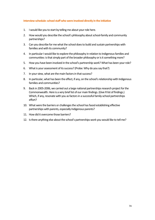## **Interview schedule: school staff who were involved directly in the initiative**

- 1. I would like you to start by telling me about your role here.
- 2. How would you describe the school's philosophy about school-family and community partnerships?
- 3. Can you describe for me what the school does to build and sustain partnerships with families and with its community?
- 4. In particular I would like to explore the philosophy in relation to Indigenous families and communities: is that simply part of the broader philosophy or is it something more?
- 5. How you have been involved in the school's partnership work? What has been your role?
- 6. What is your assessment of its success? (Probe: Why do you say that?)
- 7. In your view, what are the main factors in that success?
- 8. In particular, what has been the effect, if any, on the school's relationship with Indigenous families and communities?
- 9. Back in 2005-2006, we carried out a large national partnerships research project for the Commonwealth. Here is a very brief list of our main findings. (Give R list of findings.) Which, if any, resonate with you as factors in a successful family-school partnerships effort?
- 10. What were the barriers or challenges the school has faced establishing effective partnerships with parents, especially Indigenous parents?
- 11. How did it overcome those barriers?
- 12. Is there anything else about the school's partnerships work you would like to tell me?